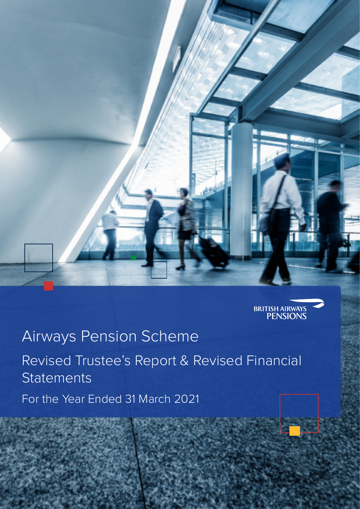



# Airways Pension Scheme

Revised Trustee's Report & Revised Financial **Statements** 

For the Year Ended 31 March 2021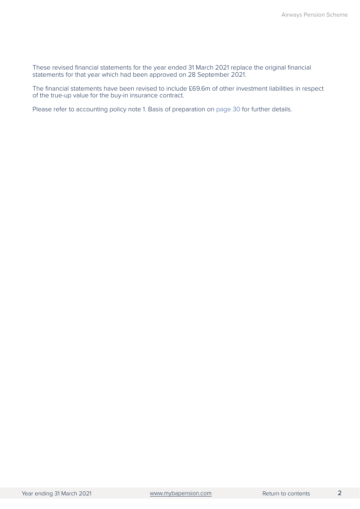These revised financial statements for the year ended 31 March 2021 replace the original financial statements for that year which had been approved on 28 September 2021.

The financial statements have been revised to include £69.6m of other investment liabilities in respect of the true-up value for the buy-in insurance contract.

Please refer to accounting policy note 1. Basis of preparation on [page 30](#page-32-0) for further details.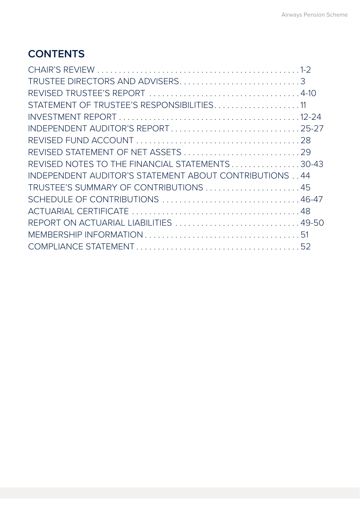## <span id="page-2-0"></span>**CONTENTS**

| TRUSTEE DIRECTORS AND ADVISERS3                         |  |
|---------------------------------------------------------|--|
|                                                         |  |
| STATEMENT OF TRUSTEE'S RESPONSIBILITIES11               |  |
|                                                         |  |
| INDEPENDENT AUDITOR'S REPORT25-27                       |  |
|                                                         |  |
| REVISED STATEMENT OF NET ASSETS 29                      |  |
| REVISED NOTES TO THE FINANCIAL STATEMENTS30-43          |  |
| INDEPENDENT AUDITOR'S STATEMENT ABOUT CONTRIBUTIONS  44 |  |
| TRUSTEE'S SUMMARY OF CONTRIBUTIONS 45                   |  |
| SCHEDULE OF CONTRIBUTIONS  46-47                        |  |
|                                                         |  |
| REPORT ON ACTUARIAL LIABILITIES 49-50                   |  |
|                                                         |  |
|                                                         |  |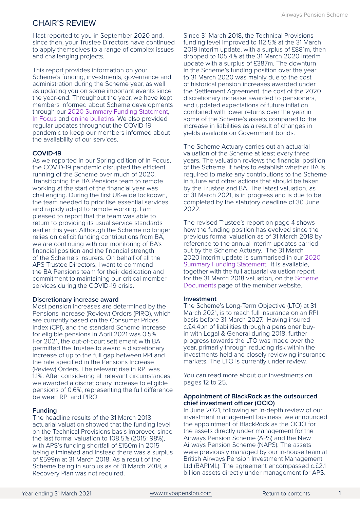### CHAIR'S REVIEW

I last reported to you in September 2020 and, since then, your Trustee Directors have continued to apply themselves to a range of complex issues and challenging projects.

This report provides information on your Scheme's funding, investments, governance and administration during the Scheme year, as well as updating you on some important events since the year-end. Throughout the year, we have kept members informed about Scheme developments through our [2020 Summary Funding Statement,](https://www.mybapension.com/resources/schemeDocuments/aps_sfs_2020.pdf) [In Focus](https://www.mybapension.com/aps/news/in-focus) and [online bulletins.](https://www.mybapension.com/aps/news/trustee_seasonal_bulletin) We also provided regular updates throughout the COVID-19 pandemic to keep our members informed about the availability of our services.

### **COVID-19**

As we reported in our Spring edition of In Focus, the COVID-19 pandemic disrupted the efficient running of the Scheme over much of 2020. Transitioning the BA Pensions team to remote working at the start of the financial year was challenging. During the first UK-wide lockdown, the team needed to prioritise essential services and rapidly adapt to remote working. I am pleased to report that the team was able to return to providing its usual service standards earlier this year. Although the Scheme no longer relies on deficit funding contributions from BA, we are continuing with our monitoring of BA's financial position and the financial strength of the Scheme's insurers. On behalf of all the APS Trustee Directors, I want to commend the BA Pensions team for their dedication and commitment to maintaining our critical member services during the COVID-19 crisis.

### **Discretionary increase award**

Most pension increases are determined by the Pensions Increase (Review) Orders (PIRO), which are currently based on the Consumer Prices Index (CPI), and the standard Scheme increase for eligible pensions in April 2021 was 0.5%. For 2021, the out-of-court settlement with BA permitted the Trustee to award a discretionary increase of up to the full gap between RPI and the rate specified in the Pensions Increase (Review) Orders. The relevant rise in RPI was 1.1%. After considering all relevant circumstances, we awarded a discretionary increase to eligible pensions of 0.6%, representing the full difference between RPI and PIRO.

### **Funding**

The headline results of the 31 March 2018 actuarial valuation showed that the funding level on the Technical Provisions basis improved since the last formal valuation to 108.5% (2015: 98%), with APS's funding shortfall of £150m in 2015 being eliminated and instead there was a surplus of £599m at 31 March 2018. As a result of the Scheme being in surplus as of 31 March 2018, a Recovery Plan was not required.

Since 31 March 2018, the Technical Provisions funding level improved to 112.5% at the 31 March 2019 interim update, with a surplus of £881m, then dropped to 105.4% at the 31 March 2020 interim update with a surplus of £387m. The downturn in the Scheme's funding position over the year to 31 March 2020 was mainly due to the cost of historical pension increases awarded under the Settlement Agreement, the cost of the 2020 discretionary increase awarded to pensioners, and updated expectations of future inflation combined with lower returns over the year in some of the Scheme's assets compared to the increase in liabilities as a result of changes in yields available on Government bonds.

The Scheme Actuary carries out an actuarial valuation of the Scheme at least every three years. The valuation reviews the financial position of the Scheme. It helps to establish whether BA is required to make any contributions to the Scheme in future and other actions that should be taken by the Trustee and BA. The latest valuation, as of 31 March 2021, is in progress and is due to be completed by the statutory deadline of 30 June 2022.

The revised Trustee's report on page 4 shows how the funding position has evolved since the previous formal valuation as of 31 March 2018 by reference to the annual interim updates carried out by the Scheme Actuary. The 31 March 2020 interim update is summarised in our [2020](https://www.mybapension.com/resources/schemeDocuments/aps_sfs_2020.pdf)  [Summary Funding Statement](https://www.mybapension.com/resources/schemeDocuments/aps_sfs_2020.pdf). It is available, together with the full actuarial valuation report for the 31 March 2018 valuation, on the [Scheme](https://www.mybapension.com/aps/documents/index)  [Documents](https://www.mybapension.com/aps/documents/index) page of the member website.

### **Investment**

The Scheme's Long-Term Objective (LTO) at 31 March 2021, is to reach full insurance on an RPI basis before 31 March 2027. Having insured c.£4.4bn of liabilities through a pensioner buyin with Legal & General during 2018, further progress towards the LTO was made over the year, primarily through reducing risk within the investments held and closely reviewing insurance markets. The LTO is currently under review.

You can read more about our investments on pages 12 to 25.

### **Appointment of BlackRock as the outsourced chief investment officer (OCIO)**

In June 2021, following an in-depth review of our investment management business, we announced the appointment of BlackRock as the OCIO for the assets directly under management for the Airways Pension Scheme (APS) and the New Airways Pension Scheme (NAPS). The assets were previously managed by our in-house team at British Airways Pension Investment Management Ltd (BAPIML). The agreement encompassed c.£2.1 billion assets directly under management for APS.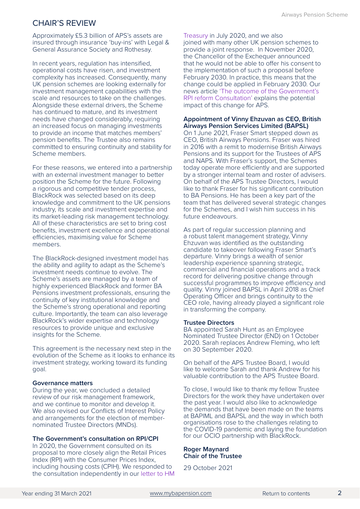### CHAIR'S REVIEW

Approximately £5.3 billion of APS's assets are insured through insurance 'buy-ins' with Legal & General Assurance Society and Rothesay.

In recent years, regulation has intensified, operational costs have risen, and investment complexity has increased. Consequently, many UK pension schemes are looking externally for investment management capabilities with the scale and resources to take on the challenges. Alongside these external drivers, the Scheme has continued to mature, and its investment needs have changed considerably, requiring an increased focus on managing investments to provide an income that matches members' pension benefits. The Trustee also remains committed to ensuring continuity and stability for Scheme members.

For these reasons, we entered into a partnership with an external investment manager to better position the Scheme for the future. Following a rigorous and competitive tender process, BlackRock was selected based on its deep knowledge and commitment to the UK pensions industry, its scale and investment expertise and its market-leading risk management technology. All of these characteristics are set to bring cost benefits, investment excellence and operational efficiencies, maximising value for Scheme members.

The BlackRock-designed investment model has the ability and agility to adapt as the Scheme's investment needs continue to evolve. The Scheme's assets are managed by a team of highly experienced BlackRock and former BA Pensions investment professionals, ensuring the continuity of key institutional knowledge and the Scheme's strong operational and reporting culture. Importantly, the team can also leverage BlackRock's wider expertise and technology resources to provide unique and exclusive insights for the Scheme.

This agreement is the necessary next step in the evolution of the Scheme as it looks to enhance its investment strategy, working toward its funding goal.

### **Governance matters**

During the year, we concluded a detailed review of our risk management framework, and we continue to monitor and develop it. We also revised our Conflicts of Interest Policy and arrangements for the election of membernominated Trustee Directors (MNDs).

### **The Government's consultation on RPI/CPI**

In 2020, the Government consulted on its proposal to more closely align the Retail Prices Index (RPI) with the Consumer Prices Index, including housing costs (CPIH). We responded to the consultation independently in our [letter to HM](https://news.mybapension.com/system/resources/W1siZiIsIjIwMjAvMTAvMjYvNHN4cW5pam9pMV9CQVBfUlBJX1JlZm9ybV9jb25zdWx0YXRpb25fcmVzcG9uc2VfQVBTXzIwMDcyMF9yZXYucGRmIl1d/BAP%20RPI%20Reform%20consultation%20response%20-%20APS%20200720%20rev.pdf) 

[Treasury in July 2020](https://news.mybapension.com/system/resources/W1siZiIsIjIwMjAvMTAvMjYvNHN4cW5pam9pMV9CQVBfUlBJX1JlZm9ybV9jb25zdWx0YXRpb25fcmVzcG9uc2VfQVBTXzIwMDcyMF9yZXYucGRmIl1d/BAP%20RPI%20Reform%20consultation%20response%20-%20APS%20200720%20rev.pdf), and we also joined with many other UK pension schemes to provide a joint response. In November 2020, the Chancellor of the Exchequer announced that he would not be able to offer his consent to the implementation of such a proposal before February 2030. In practice, this means that the change could be applied in February 2030. Our news article ['The outcome of the Government's](https://news.mybapension.com/system/resources/W1siZiIsIjIwMjEvMDIvMTkvOWNiaTByN204al9SUElfUmVmb3JtX2Fubm91bmNlbWVudF8xOTAyMjEucGRmIl1d/RPI%20Reform%20announcement%20190221.pdf)  [RPI reform Consultation'](https://news.mybapension.com/system/resources/W1siZiIsIjIwMjEvMDIvMTkvOWNiaTByN204al9SUElfUmVmb3JtX2Fubm91bmNlbWVudF8xOTAyMjEucGRmIl1d/RPI%20Reform%20announcement%20190221.pdf) explains the potential impact of this change for APS.

#### **Appointment of Vinny Ehzuvan as CEO, British Airways Pension Services Limited (BAPSL)**

On 1 June 2021, Fraser Smart stepped down as CEO, British Airways Pensions. Fraser was hired in 2016 with a remit to modernise British Airways Pensions and its support for the Trustees of APS and NAPS. With Fraser's support, the Schemes today operate more efficiently and are supported by a stronger internal team and roster of advisers. On behalf of the APS Trustee Directors, I would like to thank Fraser for his significant contribution to BA Pensions. He has been a key part of the team that has delivered several strategic changes for the Schemes, and I wish him success in his future endeavours.

As part of regular succession planning and a robust talent management strategy, Vinny Ehzuvan was identified as the outstanding candidate to takeover following Fraser Smart's departure. Vinny brings a wealth of senior leadership experience spanning strategic, commercial and financial operations and a track record for delivering positive change through successful programmes to improve efficiency and quality. Vinny joined BAPSL in April 2018 as Chief Operating Officer and brings continuity to the CEO role, having already played a significant role in transforming the company.

#### **Trustee Directors**

BA appointed Sarah Hunt as an Employee Nominated Trustee Director (END) on 1 October 2020. Sarah replaces Andrew Fleming, who left on 30 September 2020.

On behalf of the APS Trustee Board, I would like to welcome Sarah and thank Andrew for his valuable contribution to the APS Trustee Board.

To close, I would like to thank my fellow Trustee Directors for the work they have undertaken over the past year. I would also like to acknowledge the demands that have been made on the teams at BAPIML and BAPSL and the way in which both organisations rose to the challenges relating to the COVID-19 pandemic and laying the foundation for our OCIO partnership with BlackRock.

#### **Roger Maynard Chair of the Trustee**

29 October 2021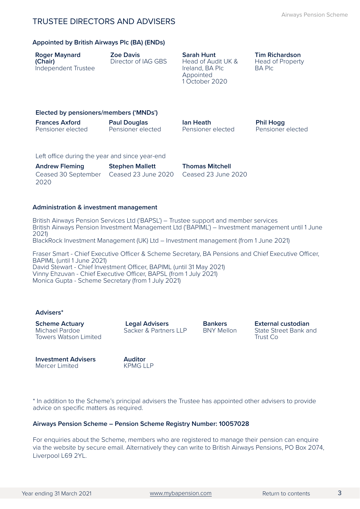### <span id="page-5-0"></span>TRUSTEE DIRECTORS AND ADVISERS

### **Appointed by British Airways Plc (BA) (ENDs)**

| <b>Roger Maynard</b><br>(Chair)<br>Independent Trustee | <b>Zoe Davis</b><br>Director of IAG GBS  | <b>Sarah Hunt</b><br>Head of Audit UK &<br>Ireland, BA Plc<br>Appointed<br>1 October 2020 | <b>Tim Richardson</b><br>Head of Property<br><b>BA PIC</b> |
|--------------------------------------------------------|------------------------------------------|-------------------------------------------------------------------------------------------|------------------------------------------------------------|
| Elected by pensioners/members ('MNDs')                 |                                          |                                                                                           |                                                            |
| <b>Frances Axford</b><br>Pensioner elected             | <b>Paul Douglas</b><br>Pensioner elected | lan Heath<br>Pensioner elected                                                            | <b>Phil Hogg</b><br>Pensioner elected                      |
| Left office during the year and since year-end         |                                          |                                                                                           |                                                            |

Left office during the year and since year-end

| <b>Andrew Fleming</b>                   | <b>Stephen Mallett</b> |
|-----------------------------------------|------------------------|
| Ceased 30 September Ceased 23 June 2020 |                        |
| 2020                                    |                        |

**Administration & investment management**

British Airways Pension Services Ltd ('BAPSL') – Trustee support and member services British Airways Pension Investment Management Ltd ('BAPIML') – Investment management until 1 June 2021) BlackRock Investment Management (UK) Ltd – Investment management (from 1 June 2021) Fraser Smart - Chief Executive Officer & Scheme Secretary, BA Pensions and Chief Executive Officer, BAPIML (until 1 June 2021) David Stewart - Chief Investment Officer, BAPIML (until 31 May 2021)

**Thomas Mitchell** Ceased 23 June 2020

Vinny Ehzuvan - Chief Executive Officer, BAPSL (from 1 July 2021) Monica Gupta - Scheme Secretary (from 1 July 2021)

### **Advisers\***

**Scheme Actuary** Michael Pardoe Towers Watson Limited

 **Legal Advisers** Sacker & Partners LLP

**Bankers** BNY Mellon **External custodian** State Street Bank and Trust Co

**Investment Advisers** Mercer Limited

**Auditor** KPMG LLP

\* In addition to the Scheme's principal advisers the Trustee has appointed other advisers to provide advice on specific matters as required.

### **Airways Pension Scheme – Pension Scheme Registry Number: 10057028**

For enquiries about the Scheme, members who are registered to manage their pension can enquire via the website by secure email. Alternatively they can write to British Airways Pensions, PO Box 2074, Liverpool L69 2YL.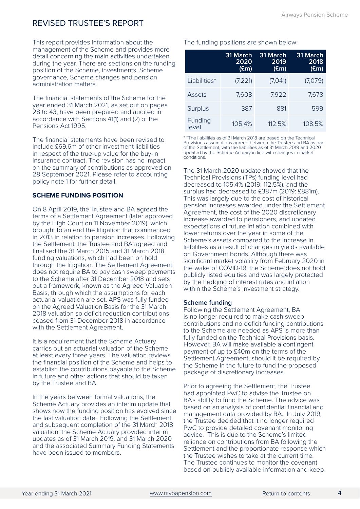<span id="page-6-0"></span>This report provides information about the management of the Scheme and provides more detail concerning the main activities undertaken during the year. There are sections on the funding position of the Scheme, investments, Scheme governance, Scheme changes and pension administration matters.

The financial statements of the Scheme for the year ended 31 March 2021, as set out on pages 28 to 43, have been prepared and audited in accordance with Sections 41(1) and (2) of the Pensions Act 1995.

The financial statements have been revised to include £69.6m of other investment liabilities in respect of the true-up value for the buy-in insurance contract. The revision has no impact on the summary of contributions as approved on 28 September 2021. Please refer to accounting policy note 1 for further detail.

### **SCHEME FUNDING POSITION**

On 8 April 2019, the Trustee and BA agreed the terms of a Settlement Agreement (later approved by the High Court on 11 November 2019), which brought to an end the litigation that commenced in 2013 in relation to pension increases. Following the Settlement, the Trustee and BA agreed and finalised the 31 March 2015 and 31 March 2018 funding valuations, which had been on hold through the litigation. The Settlement Agreement does not require BA to pay cash sweep payments to the Scheme after 31 December 2018 and sets out a framework, known as the Agreed Valuation Basis, through which the assumptions for each actuarial valuation are set. APS was fully funded on the Agreed Valuation Basis for the 31 March 2018 valuation so deficit reduction contributions ceased from 31 December 2018 in accordance with the Settlement Agreement.

It is a requirement that the Scheme Actuary carries out an actuarial valuation of the Scheme at least every three years. The valuation reviews the financial position of the Scheme and helps to establish the contributions payable to the Scheme in future and other actions that should be taken by the Trustee and BA.

In the years between formal valuations, the Scheme Actuary provides an interim update that shows how the funding position has evolved since the last valuation date. Following the Settlement and subsequent completion of the 31 March 2018 valuation, the Scheme Actuary provided interim updates as of 31 March 2019, and 31 March 2020 and the associated Summary Funding Statements have been issued to members.

The funding positions are shown below:

|                  | 31 March<br>2020<br>$(\text{Em})$ | 31 March<br>2019<br>$(\text{Em})$ | 31 March<br>2018<br>$(\mathsf{Em})$ |
|------------------|-----------------------------------|-----------------------------------|-------------------------------------|
| Liabilities*     | (7,221)                           | (7,041)                           | (7,079)                             |
| Assets           | 7,608                             | 7,922                             | 7,678                               |
| <b>Surplus</b>   | 387                               | 881                               | 599                                 |
| Funding<br>level | 105.4%                            | 112.5%                            | 108.5%                              |

\* \*The liabilities as of 31 March 2018 are based on the Technical Provisions assumptions agreed between the Trustee and BA as part of the Settlement, with the liabilities as of 31 March 2019 and 2020 updated by the Scheme Actuary in line with changes in market conditions.

The 31 March 2020 update showed that the Technical Provisions (TPs) funding level had decreased to 105.4% (2019: 112.5%), and the surplus had decreased to £387m (2019: £881m). This was largely due to the cost of historical pension increases awarded under the Settlement Agreement, the cost of the 2020 discretionary increase awarded to pensioners, and updated expectations of future inflation combined with lower returns over the year in some of the Scheme's assets compared to the increase in liabilities as a result of changes in yields available on Government bonds. Although there was significant market volatility from February 2020 in the wake of COVID-19, the Scheme does not hold publicly listed equities and was largely protected by the hedging of interest rates and inflation within the Scheme's investment strategy.

### **Scheme funding**

Following the Settlement Agreement, BA is no longer required to make cash sweep contributions and no deficit funding contributions to the Scheme are needed as APS is more than fully funded on the Technical Provisions basis. However, BA will make available a contingent payment of up to £40m on the terms of the Settlement Agreement, should it be required by the Scheme in the future to fund the proposed package of discretionary increases.

Prior to agreeing the Settlement, the Trustee had appointed PwC to advise the Trustee on BA's ability to fund the Scheme. The advice was based on an analysis of confidential financial and management data provided by BA. In July 2019, the Trustee decided that it no longer required PwC to provide detailed covenant monitoring advice. This is due to the Scheme's limited reliance on contributions from BA following the Settlement and the proportionate response which the Trustee wishes to take at the current time. The Trustee continues to monitor the covenant based on publicly available information and keep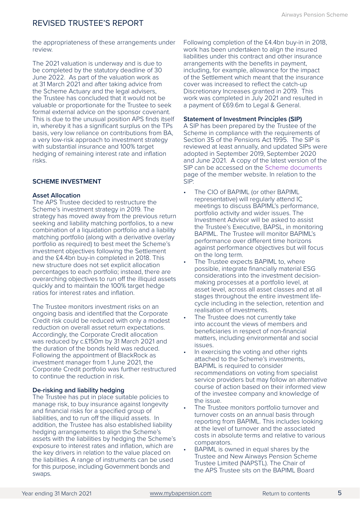the appropriateness of these arrangements under review.

The 2021 valuation is underway and is due to be completed by the statutory deadline of 30 June 2022. As part of the valuation work as at 31 March 2021 and after taking advice from the Scheme Actuary and the legal advisers, the Trustee has concluded that it would not be valuable or proportionate for the Trustee to seek formal external advice on the sponsor covenant. This is due to the unusual position APS finds itself in, whereby it has a significant surplus on the TPs basis, very low reliance on contributions from BA, a very low-risk approach to investment strategy with substantial insurance and 100% target hedging of remaining interest rate and inflation risks.

### **SCHEME INVESTMENT**

### **Asset Allocation**

The APS Trustee decided to restructure the Scheme's investment strategy in 2019. The strategy has moved away from the previous return seeking and liability matching portfolios, to a new combination of a liquidation portfolio and a liability matching portfolio (along with a derivative overlay portfolio as required) to best meet the Scheme's investment objectives following the Settlement and the £4.4bn buy-in completed in 2018. This new structure does not set explicit allocation percentages to each portfolio; instead, there are overarching objectives to run off the illiquid assets quickly and to maintain the 100% target hedge ratios for interest rates and inflation.

The Trustee monitors investment risks on an ongoing basis and identified that the Corporate Credit risk could be reduced with only a modest reduction on overall asset return expectations. Accordingly, the Corporate Credit allocation was reduced by c.£150m by 31 March 2021 and the duration of the bonds held was reduced. Following the appointment of BlackRock as investment manager from 1 June 2021, the Corporate Credit portfolio was further restructured to continue the reduction in risk.

### **De-risking and liability hedging**

The Trustee has put in place suitable policies to manage risk, to buy insurance against longevity and financial risks for a specified group of liabilities, and to run off the illiquid assets. In addition, the Trustee has also established liability hedging arrangements to align the Scheme's assets with the liabilities by hedging the Scheme's exposure to interest rates and inflation, which are the key drivers in relation to the value placed on the liabilities. A range of instruments can be used for this purpose, including Government bonds and swaps.

Following completion of the £4.4bn buy-in in 2018, work has been undertaken to align the insured liabilities under this contract and other insurance arrangements with the benefits in payment, including, for example, allowance for the impact of the Settlement which meant that the insurance cover was increased to reflect the catch-up Discretionary Increases granted in 2019. This work was completed in July 2021 and resulted in a payment of £69.6m to Legal & General.

### **Statement of Investment Principles (SIP)**

A SIP has been prepared by the Trustee of the Scheme in compliance with the requirements of Section 35 of the Pensions Act 1995. The SIP is reviewed at least annually, and updated SIPs were adopted in September 2019, September 2020 and June 2021. A copy of the latest version of the SIP can be accessed on the [Scheme documents](https://www.mybapension.com/aps/documents/index) page of the member website. In relation to the SIP:

- The CIO of BAPIML (or other BAPIML representative) will regularly attend IC meetings to discuss BAPIML's performance, portfolio activity and wider issues. The Investment Advisor will be asked to assist the Trustee's Executive, BAPSL, in monitoring BAPIML. The Trustee will monitor BAPIML's performance over different time horizons against performance objectives but will focus on the long term.
- The Trustee expects BAPIML to, where possible, integrate financially material ESG considerations into the investment decisionmaking processes at a portfolio level, at asset level, across all asset classes and at all stages throughout the entire investment lifecycle including in the selection, retention and realisation of investments.
- The Trustee does not currently take into account the views of members and beneficiaries in respect of non-financial matters, including environmental and social issues.
- In exercising the voting and other rights attached to the Scheme's investments, BAPIML is required to consider recommendations on voting from specialist service providers but may follow an alternative course of action based on their informed view of the investee company and knowledge of the issue.
- The Trustee monitors portfolio turnover and turnover costs on an annual basis through reporting from BAPIML. This includes looking at the level of turnover and the associated costs in absolute terms and relative to various comparators.
- BAPIML is owned in equal shares by the Trustee and New Airways Pension Scheme Trustee Limited (NAPSTL). The Chair of the APS Trustee sits on the BAPIML Board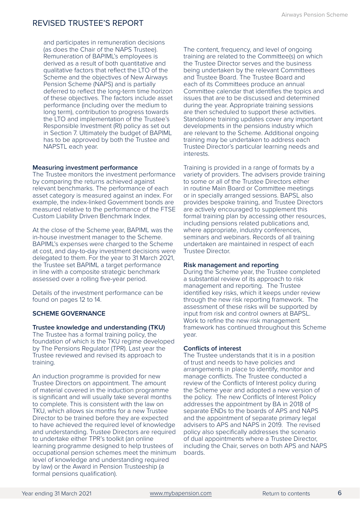and participates in remuneration decisions (as does the Chair of the NAPS Trustee). Remuneration of BAPIML's employees is derived as a result of both quantitative and qualitative factors that reflect the LTO of the Scheme and the objectives of New Airways Pension Scheme (NAPS) and is partially deferred to reflect the long-term time horizon of these objectives. The factors include asset performance (including over the medium to long term), contribution to progress towards the LTO and implementation of the Trustee's Responsible Investment (RI) policy as set out in Section 7. Ultimately the budget of BAPIML has to be approved by both the Trustee and NAPSTL each year.

### **Measuring investment performance**

The Trustee monitors the investment performance by comparing the returns achieved against relevant benchmarks. The performance of each asset category is measured against an index. For example, the index-linked Government bonds are measured relative to the performance of the FTSE Custom Liability Driven Benchmark Index.

At the close of the Scheme year, BAPIML was the in-house investment manager to the Scheme. BAPIML's expenses were charged to the Scheme at cost, and day-to-day investment decisions were delegated to them. For the year to 31 March 2021, the Trustee set BAPIML a target performance in line with a composite strategic benchmark assessed over a rolling five-year period.

Details of the investment performance can be found on pages 12 to 14.

### **SCHEME GOVERNANCE**

### **Trustee knowledge and understanding (TKU)**

The Trustee has a formal training policy, the foundation of which is the TKU regime developed by The Pensions Regulator (TPR). Last year the Trustee reviewed and revised its approach to training.

An induction programme is provided for new Trustee Directors on appointment. The amount of material covered in the induction programme is significant and will usually take several months to complete. This is consistent with the law on TKU, which allows six months for a new Trustee Director to be trained before they are expected to have achieved the required level of knowledge and understanding. Trustee Directors are required to undertake either TPR's toolkit (an online learning programme designed to help trustees of occupational pension schemes meet the minimum level of knowledge and understanding required by law) or the Award in Pension Trusteeship (a formal pensions qualification).

The content, frequency, and level of ongoing training are related to the Committee(s) on which the Trustee Director serves and the business being undertaken by the relevant Committees and Trustee Board. The Trustee Board and each of its Committees produce an annual Committee calendar that identifies the topics and issues that are to be discussed and determined during the year. Appropriate training sessions are then scheduled to support these activities. Standalone training updates cover any important developments in the pensions industry which are relevant to the Scheme. Additional ongoing training may be undertaken to address each Trustee Director's particular learning needs and interests.

Training is provided in a range of formats by a variety of providers. The advisers provide training to some or all of the Trustee Directors either in routine Main Board or Committee meetings or in specially arranged sessions. BAPSL also provides bespoke training, and Trustee Directors are actively encouraged to supplement this formal training plan by accessing other resources, including pensions related publications and, where appropriate, industry conferences, seminars and webinars. Records of all training undertaken are maintained in respect of each Trustee Director.

### **Risk management and reporting**

During the Scheme year, the Trustee completed a substantial review of its approach to risk management and reporting. The Trustee identified key risks, which it keeps under review through the new risk reporting framework. The assessment of these risks will be supported by input from risk and control owners at BAPSL. Work to refine the new risk management framework has continued throughout this Scheme year.

### **Conflicts of interest**

The Trustee understands that it is in a position of trust and needs to have policies and arrangements in place to identify, monitor and manage conflicts. The Trustee conducted a review of the Conflicts of Interest policy during the Scheme year and adopted a new version of the policy. The new Conflicts of Interest Policy addresses the appointment by BA in 2018 of separate ENDs to the boards of APS and NAPS and the appointment of separate primary legal advisers to APS and NAPS in 2019. The revised policy also specifically addresses the scenario of dual appointments where a Trustee Director, including the Chair, serves on both APS and NAPS boards.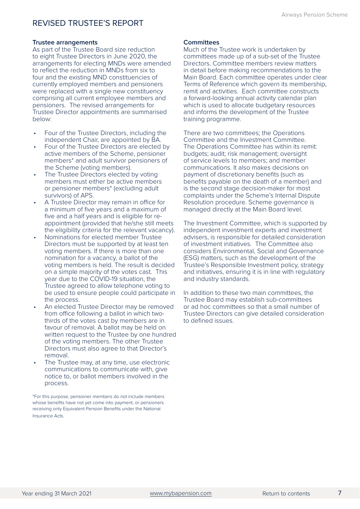#### **Trustee arrangements**

As part of the Trustee Board size reduction to eight Trustee Directors in June 2020, the arrangements for electing MNDs were amended to reflect the reduction in MNDs from six to four and the existing MND constituencies of currently employed members and pensioners were replaced with a single new constituency comprising all current employee members and pensioners. The revised arrangements for Trustee Director appointments are summarised below:

- Four of the Trustee Directors, including the independent Chair, are appointed by BA.
- Four of the Trustee Directors are elected by active members of the Scheme, pensioner members\* and adult survivor pensioners of the Scheme (voting members).
- The Trustee Directors elected by voting members must either be active members or pensioner members\* (excluding adult survivors) of APS.
- A Trustee Director may remain in office for a minimum of five years and a maximum of five and a half years and is eligible for reappointment (provided that he/she still meets the eligibility criteria for the relevant vacancy).
- Nominations for elected member Trustee Directors must be supported by at least ten voting members. If there is more than one nomination for a vacancy, a ballot of the voting members is held. The result is decided on a simple majority of the votes cast. This year due to the COVID-19 situation, the Trustee agreed to allow telephone voting to be used to ensure people could participate in the process.
- An elected Trustee Director may be removed from office following a ballot in which twothirds of the votes cast by members are in favour of removal. A ballot may be held on written request to the Trustee by one hundred of the voting members. The other Trustee Directors must also agree to that Director's removal.
- The Trustee may, at any time, use electronic communications to communicate with, give notice to, or ballot members involved in the process.

\*For this purpose, pensioner members do not include members whose benefits have not yet come into payment, or pensioners receiving only Equivalent Pension Benefits under the National Insurance Acts.

#### **Committees**

Much of the Trustee work is undertaken by committees made up of a sub-set of the Trustee Directors. Committee members review matters in detail before making recommendations to the Main Board. Each committee operates under clear Terms of Reference which govern its membership, remit and activities. Each committee constructs a forward-looking annual activity calendar plan which is used to allocate budgetary resources and informs the development of the Trustee training programme.

There are two committees; the Operations Committee and the Investment Committee. The Operations Committee has within its remit: budgets; audit; risk management; oversight of service levels to members; and member communications. It also makes decisions on payment of discretionary benefits (such as benefits payable on the death of a member) and is the second stage decision-maker for most complaints under the Scheme's Internal Dispute Resolution procedure. Scheme governance is managed directly at the Main Board level.

The Investment Committee, which is supported by independent investment experts and investment advisers, is responsible for detailed consideration of investment initiatives. The Committee also considers Environmental, Social and Governance (ESG) matters, such as the development of the Trustee's Responsible Investment policy, strategy and initiatives, ensuring it is in line with regulatory and industry standards.

In addition to these two main committees, the Trustee Board may establish sub-committees or ad hoc committees so that a small number of Trustee Directors can give detailed consideration to defined issues.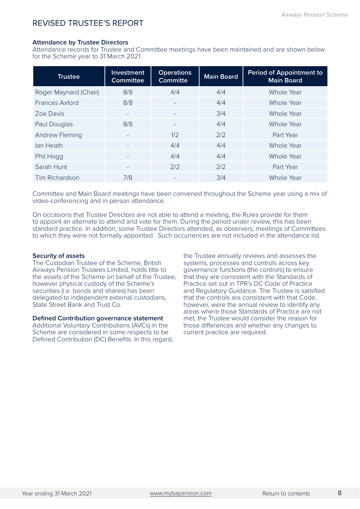### **Attendance by Trustee Directors**

Attendance records for Trustee and Committee meetings have been maintained and are shown below for the Scheme year to 31 March 2021.

| <b>Trustee</b>        | Investment<br><b>Committee</b> | <b>Operations</b><br><b>Committe</b> | <b>Main Board</b> | <b>Period of Appointment to</b><br><b>Main Board</b> |
|-----------------------|--------------------------------|--------------------------------------|-------------------|------------------------------------------------------|
| Roger Maynard (Chair) | 8/8                            | 4/4                                  | 4/4               | <b>Whole Year</b>                                    |
| <b>Frances Axford</b> | 8/8                            |                                      | 4/4               | Whole Year                                           |
| Zoe Davis             |                                |                                      | 3/4               | <b>Whole Year</b>                                    |
| Paul Douglas          | 8/8                            | $\qquad \qquad -$                    | 4/4               | Whole Year                                           |
| <b>Andrew Fleming</b> | -                              | 1/2                                  | 2/2               | Part Year                                            |
| lan Heath             |                                | 4/4                                  | 4/4               | Whole Year                                           |
| Phil Hogg             |                                | 4/4                                  | 4/4               | Whole Year                                           |
| Sarah Hunt            | $\qquad \qquad -$              | 2/2                                  | 2/2               | Part Year                                            |
| Tim Richardson        | 7/8                            | ۰                                    | 3/4               | Whole Year                                           |

Committee and Main Board meetings have been convened throughout the Scheme year using a mix of video-conferencing and in-person attendance.

On occasions that Trustee Directors are not able to attend a meeting, the Rules provide for them to appoint an alternate to attend and vote for them. During the period under review, this has been standard practice. In addition, some Trustee Directors attended, as observers, meetings of Committees to which they were not formally appointed. Such occurrences are not included in the attendance list.

### **Security of assets**

The Custodian Trustee of the Scheme, British Airways Pension Trustees Limited, holds title to the assets of the Scheme on behalf of the Trustee; however physical custody of the Scheme's securities (i.e. bonds and shares) has been delegated to independent external custodians, State Street Bank and Trust Co.

### **Defined Contribution governance statement**

Additional Voluntary Contributions (AVCs) in the Scheme are considered in some respects to be Defined Contribution (DC) Benefits. In this regard, the Trustee annually reviews and assesses the systems, processes and controls across key governance functions (the controls) to ensure that they are consistent with the Standards of Practice set out in TPR's DC Code of Practice and Regulatory Guidance. The Trustee is satisfied that the controls are consistent with that Code, however, were the annual review to identify any areas where those Standards of Practice are not met, the Trustee would consider the reason for those differences and whether any changes to current practice are required.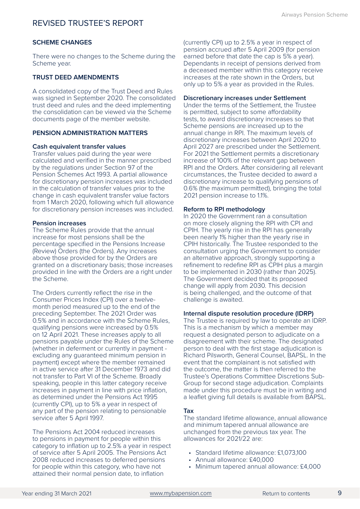### **SCHEME CHANGES**

There were no changes to the Scheme during the Scheme year.

### **TRUST DEED AMENDMENTS**

A consolidated copy of the Trust Deed and Rules was signed in September 2020. The consolidated trust deed and rules and the deed implementing the consolidation can be viewed via the [Scheme](https://www.mybapension.com/aps/documents/index)  [documents](https://www.mybapension.com/aps/documents/index) page of the member website.

### **PENSION ADMINISTRATION MATTERS**

### **Cash equivalent transfer values**

Transfer values paid during the year were calculated and verified in the manner prescribed by the regulations under Section 97 of the Pension Schemes Act 1993. A partial allowance for discretionary pension increases was included in the calculation of transfer values prior to the change in cash equivalent transfer value factors from 1 March 2020, following which full allowance for discretionary pension increases was included.

### **Pension increases**

The Scheme Rules provide that the annual increase for most pensions shall be the percentage specified in the Pensions Increase (Review) Orders (the Orders). Any increases above those provided for by the Orders are granted on a discretionary basis; those increases provided in line with the Orders are a right under the Scheme.

The Orders currently reflect the rise in the Consumer Prices Index (CPI) over a twelvemonth period measured up to the end of the preceding September. The 2021 Order was 0.5% and in accordance with the Scheme Rules, qualifying pensions were increased by 0.5% on 12 April 2021. These increases apply to all pensions payable under the Rules of the Scheme (whether in deferment or currently in payment excluding any guaranteed minimum pension in payment) except where the member remained in active service after 31 December 1973 and did not transfer to Part VI of the Scheme. Broadly speaking, people in this latter category receive increases in payment in line with price inflation, as determined under the Pensions Act 1995 (currently CPI), up to 5% a year in respect of any part of the pension relating to pensionable service after 5 April 1997.

The Pensions Act 2004 reduced increases to pensions in payment for people within this category to inflation up to 2.5% a year in respect of service after 5 April 2005. The Pensions Act 2008 reduced increases to deferred pensions for people within this category, who have not attained their normal pension date, to inflation

(currently CPI) up to 2.5% a year in respect of pension accrued after 5 April 2009 (for pension earned before that date the cap is 5% a year). Dependants in receipt of pensions derived from a deceased member within this category receive increases at the rate shown in the Orders, but only up to 5% a year as provided in the Rules.

#### **Discretionary increases under Settlement**

Under the terms of the Settlement, the Trustee is permitted, subject to some affordability tests, to award discretionary increases so that Scheme pensions are increased up to the annual change in RPI. The maximum levels of discretionary increases between April 2020 to April 2027 are prescribed under the Settlement. For 2021 the Settlement permits a discretionary increase of 100% of the relevant gap between RPI and the Orders. After considering all relevant circumstances, the Trustee decided to award a discretionary increase to qualifying pensions of 0.6% (the maximum permitted), bringing the total 2021 pension increase to 1.1%.

#### **Reform to RPI methodology**

In 2020 the Government ran a consultation on more closely aligning the RPI with CPI and CPIH. The yearly rise in the RPI has generally been nearly 1% higher than the yearly rise in CPIH historically. The Trustee responded to the consultation urging the Government to consider an alternative approach, strongly supporting a refinement to redefine RPI as CPIH plus a margin to be implemented in 2030 (rather than 2025). The Government decided that its proposed change will apply from 2030. This decision is being challenged, and the outcome of that challenge is awaited.

### **Internal dispute resolution procedure (IDRP)**

The Trustee is required by law to operate an IDRP. This is a mechanism by which a member may request a designated person to adjudicate on a disagreement with their scheme. The designated person to deal with the first stage adjudication is Richard Pilsworth, General Counsel, BAPSL. In the event that the complainant is not satisfied with the outcome, the matter is then referred to the Trustee's Operations Committee Discretions Sub-Group for second stage adjudication. Complaints made under this procedure must be in writing and a leaflet giving full details is available from BAPSL.

#### **Tax**

The standard lifetime allowance, annual allowance and minimum tapered annual allowance are unchanged from the previous tax year. The allowances for 2021/22 are:

- Standard lifetime allowance: £1,073,100
- Annual allowance: £40,000
- Minimum tapered annual allowance: £4,000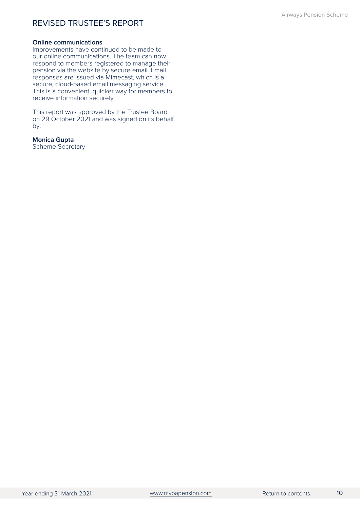### **Online communications**

Improvements have continued to be made to our online communications. The team can now respond to members registered to manage their pension via the website by secure email. Email responses are issued via Mimecast, which is a secure, cloud-based email messaging service. This is a convenient, quicker way for members to receive information securely.

This report was approved by the Trustee Board on 29 October 2021 and was signed on its behalf by:

### **Monica Gupta**

Scheme Secretary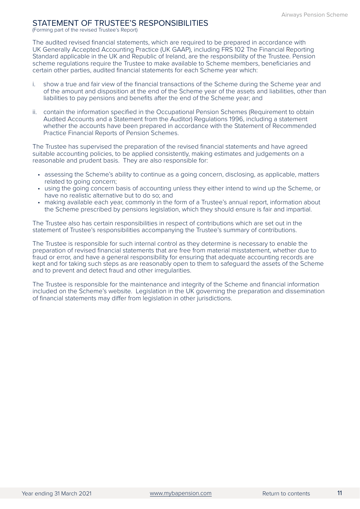### <span id="page-13-0"></span>STATEMENT OF TRUSTEE'S RESPONSIBILITIES

(Forming part of the revised Trustee's Report)

The audited revised financial statements, which are required to be prepared in accordance with UK Generally Accepted Accounting Practice (UK GAAP), including FRS 102 The Financial Reporting Standard applicable in the UK and Republic of Ireland, are the responsibility of the Trustee. Pension scheme regulations require the Trustee to make available to Scheme members, beneficiaries and certain other parties, audited financial statements for each Scheme year which:

- i. show a true and fair view of the financial transactions of the Scheme during the Scheme year and of the amount and disposition at the end of the Scheme year of the assets and liabilities, other than liabilities to pay pensions and benefits after the end of the Scheme year; and
- ii. contain the information specified in the Occupational Pension Schemes (Requirement to obtain Audited Accounts and a Statement from the Auditor) Regulations 1996, including a statement whether the accounts have been prepared in accordance with the Statement of Recommended Practice Financial Reports of Pension Schemes.

The Trustee has supervised the preparation of the revised financial statements and have agreed suitable accounting policies, to be applied consistently, making estimates and judgements on a reasonable and prudent basis. They are also responsible for:

- assessing the Scheme's ability to continue as a going concern, disclosing, as applicable, matters related to going concern;
- using the going concern basis of accounting unless they either intend to wind up the Scheme, or have no realistic alternative but to do so; and
- making available each year, commonly in the form of a Trustee's annual report, information about the Scheme prescribed by pensions legislation, which they should ensure is fair and impartial.

The Trustee also has certain responsibilities in respect of contributions which are set out in the statement of Trustee's responsibilities accompanying the Trustee's summary of contributions.

The Trustee is responsible for such internal control as they determine is necessary to enable the preparation of revised financial statements that are free from material misstatement, whether due to fraud or error, and have a general responsibility for ensuring that adequate accounting records are kept and for taking such steps as are reasonably open to them to safeguard the assets of the Scheme and to prevent and detect fraud and other irregularities.

The Trustee is responsible for the maintenance and integrity of the Scheme and financial information included on the Scheme's website. Legislation in the UK governing the preparation and dissemination of financial statements may differ from legislation in other jurisdictions.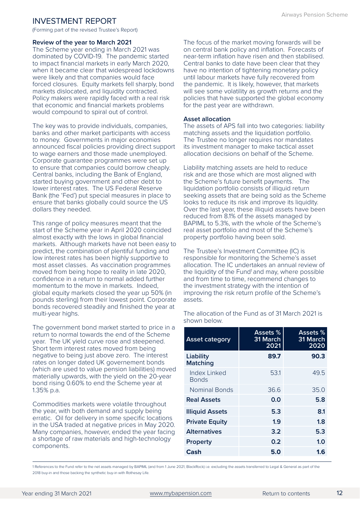<span id="page-14-0"></span>(Forming part of the revised Trustee's Report)

#### **Review of the year to March 2021**

The Scheme year ending in March 2021 was dominated by COVID-19. The pandemic started to impact financial markets in early March 2020, when it became clear that widespread lockdowns were likely and that companies would face forced closures. Equity markets fell sharply, bond markets dislocated, and liquidity contracted. Policy makers were rapidly faced with a real risk that economic and financial markets problems would compound to spiral out of control.

The key was to provide individuals, companies, banks and other market participants with access to money. Governments in major economies announced fiscal policies providing direct support to wage earners and those made unemployed. Corporate guarantee programmes were set up to ensure that companies could borrow cheaply. Central banks, including the Bank of England, started buying government and other debt to lower interest rates. The US Federal Reserve Bank (the 'Fed') put special measures in place to ensure that banks globally could source the US dollars they needed.

This range of policy measures meant that the start of the Scheme year in April 2020 coincided almost exactly with the lows in global financial markets. Although markets have not been easy to predict, the combination of plentiful funding and low interest rates has been highly supportive to most asset classes. As vaccination programmes moved from being hope to reality in late 2020, confidence in a return to normal added further momentum to the move in markets. Indeed, global equity markets closed the year up 50% (in pounds sterling) from their lowest point. Corporate bonds recovered steadily and finished the year at multi-year highs.

The government bond market started to price in a return to normal towards the end of the Scheme year. The UK yield curve rose and steepened. Short term interest rates moved from being negative to being just above zero. The interest rates on longer dated UK governement bonds (which are used to value pension liabilities) moved materially upwards, with the yield on the 20-year bond rising 0.60% to end the Scheme year at 1.35% p.a.

Commodities markets were volatile throughout the year, with both demand and supply being erratic. Oil for delivery in some specific locations in the USA traded at negative prices in May 2020. Many companies, however, ended the year facing a shortage of raw materials and high-technology components.

The focus of the market moving forwards will be on central bank policy and inflation. Forecasts of near-term inflation have risen and then stabilised. Central banks to date have been clear that they have no intention of tightening monetary policy until labour markets have fully recovered from the pandemic. It is likely, however, that markets will see some volatility as growth returns and the policies that have supported the global economy for the past year are withdrawn.

### **Asset allocation**

The assets of APS fall into two categories: liability matching assets and the liquidation portfolio. The Trustee no longer requires nor mandates its investment manager to make tactical asset allocation decisions on behalf of the Scheme.

Liability matching assets are held to reduce risk and are those which are most aligned with the Scheme's future benefit payments. The liquidation portfolio consists of illiquid return seeking assets that are being sold as the Scheme looks to reduce its risk and improve its liquidity. Over the last year, these illiquid assets have been reduced from 8.1% of the assets managed by BAPIML to 5.3%, with the whole of the Scheme's real asset portfolio and most of the Scheme's property portfolio having been sold.

The Trustee's Investment Committee (IC) is responsible for monitoring the Scheme's asset allocation. The IC undertakes an annual review of the liquidity of the Fund<sup>1</sup> and may, where possible and from time to time, recommend changes to the investment strategy with the intention of improving the risk return profile of the Scheme's assets.

The allocation of the Fund as of 31 March 2021 is shown below.

| <b>Asset category</b>        | <b>Assets %</b><br>31 March<br>2021 | Assets %<br>31 March<br>2020 |
|------------------------------|-------------------------------------|------------------------------|
| Liability<br><b>Matching</b> | 89.7                                | 90.3                         |
| Index Linked<br>Bonds        | 53.1                                | 49.5                         |
| <b>Nominal Bonds</b>         | 36.6                                | 35.0                         |
| <b>Real Assets</b>           | 0.0                                 | 5.8                          |
| <b>Illiquid Assets</b>       | 5.3                                 | 8.1                          |
| <b>Private Equity</b>        | 1.9                                 | 1.8                          |
| <b>Alternatives</b>          | 3.2                                 | 5.3                          |
| <b>Property</b>              | 0.2                                 | 1.0                          |
| Cash                         | 5.0                                 | 1.6                          |

1 References to the Fund refer to the net assets managed by BAPIML (and from 1 June 2021, BlackRock) i.e. excluding the assets transferred to Legal & General as part of the 2018 buy-in and those backing the synthetic buy-in with Rothesay Life.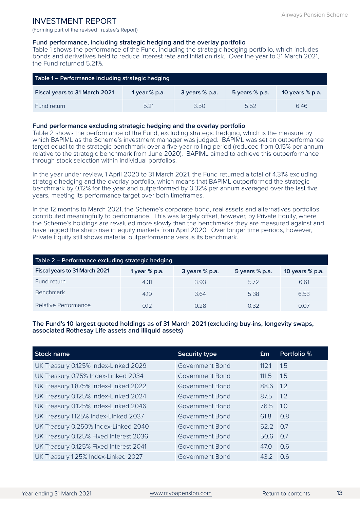(Forming part of the revised Trustee's Report)

### **Fund performance, including strategic hedging and the overlay portfolio**

Table 1 shows the performance of the Fund, including the strategic hedging portfolio, which includes bonds and derivatives held to reduce interest rate and inflation risk. Over the year to 31 March 2021, the Fund returned 5.21%.

| Table 1 – Performance including strategic hedging |                 |                    |                  |                   |
|---------------------------------------------------|-----------------|--------------------|------------------|-------------------|
| Fiscal years to 31 March 2021                     | 1 year $%$ p.a. | $3$ years $%$ p.a. | 5 years $%$ p.a. | 10 years $%$ p.a. |
| Fund return                                       | 5.21            | 3.50               | 5.52             | 646               |

### **Fund performance excluding strategic hedging and the overlay portfolio**

Table 2 shows the performance of the Fund, excluding strategic hedging, which is the measure by which BAPIML as the Scheme's investment manager was judged. BAPIML was set an outperformance target equal to the strategic benchmark over a five-year rolling period (reduced from 0.15% per annum relative to the strategic benchmark from June 2020). BAPIML aimed to achieve this outperformance through stock selection within individual portfolios.

In the year under review, 1 April 2020 to 31 March 2021, the Fund returned a total of 4.31% excluding strategic hedging and the overlay portfolio, which means that BAPIML outperformed the strategic benchmark by 0.12% for the year and outperformed by 0.32% per annum averaged over the last five years, meeting its performance target over both timeframes.

In the 12 months to March 2021, the Scheme's corporate bond, real assets and alternatives portfolios contributed meaningfully to performance. This was largely offset, however, by Private Equity, where the Scheme's holdings are revalued more slowly than the benchmarks they are measured against and have lagged the sharp rise in equity markets from April 2020. Over longer time periods, however, Private Equity still shows material outperformance versus its benchmark.

| Table 2 - Performance excluding strategic hedging |                 |                  |                |                 |
|---------------------------------------------------|-----------------|------------------|----------------|-----------------|
| Fiscal years to 31 March 2021                     | 1 year $%$ p.a. | 3 years $%$ p.a. | 5 years % p.a. | 10 years % p.a. |
| Fund return                                       | 4.31            | 3.93             | 572            | 6.61            |
| <b>Benchmark</b>                                  | 4.19            | 364              | 5.38           | 6.53            |
| Relative Performance                              | 012             | 0.28             | 0.32           | 0.07            |

### **The Fund's 10 largest quoted holdings as of 31 March 2021 (excluding buy-ins, longevity swaps, associated Rothesay Life assets and illiquid assets)**

| <b>Stock name</b>                      | <b>Security type</b>   | Em       | Portfolio % |
|----------------------------------------|------------------------|----------|-------------|
| UK Treasury 0.125% Index-Linked 2029   | <b>Government Bond</b> | 112.1    | 1.5         |
| UK Treasury 0.75% Index-Linked 2034    | <b>Government Bond</b> | 111.5    | 1.5         |
| UK Treasury 1.875% Index-Linked 2022   | <b>Government Bond</b> | 88.6     | 12          |
| UK Treasury 0.125% Index-Linked 2024   | Government Bond        | 87.5     | 1.2         |
| UK Treasury 0.125% Index-Linked 2046   | Government Bond        | 76.5     | 1.0         |
| UK Treasury 1.125% Index-Linked 2037   | <b>Government Bond</b> | 61.8     | 0.8         |
| UK Treasury 0.250% Index-Linked 2040   | <b>Government Bond</b> | 52.2 0.7 |             |
| UK Treasury 0.125% Fixed Interest 2036 | <b>Government Bond</b> | 50.6     | 0.7         |
| UK Treasury 0.125% Fixed Interest 2041 | <b>Government Bond</b> | 47.0     | 0.6         |
| UK Treasury 1.25% Index-Linked 2027    | Government Bond        | 43.2     | 0.6         |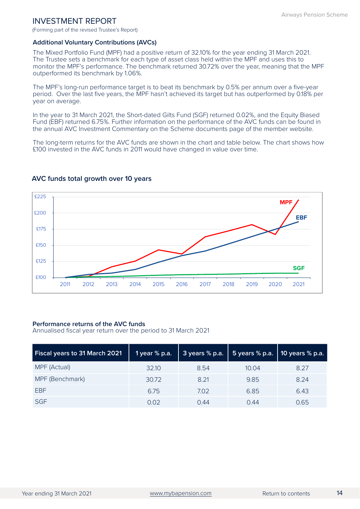(Forming part of the revised Trustee's Report)

### **Additional Voluntary Contributions (AVCs)**

The Mixed Portfolio Fund (MPF) had a positive return of 32.10% for the year ending 31 March 2021. The Trustee sets a benchmark for each type of asset class held within the MPF and uses this to monitor the MPF's performance. The benchmark returned 30.72% over the year, meaning that the MPF outperformed its benchmark by 1.06%.

The MPF's long-run performance target is to beat its benchmark by 0.5% per annum over a five-year period. Over the last five years, the MPF hasn't achieved its target but has outperformed by 0.18% per year on average.

In the year to 31 March 2021, the Short-dated Gilts Fund (SGF) returned 0.02%, and the Equity Biased Fund (EBF) returned 6.75%. Further information on the performance of the AVC funds can be found in the annual AVC Investment Commentary on the [Scheme documents](https://www.mybapension.com/aps/documents/index) page of the member website.

The long-term returns for the AVC funds are shown in the chart and table below. The chart shows how £100 invested in the AVC funds in 2011 would have changed in value over time.



### **AVC funds total growth over 10 years**

### **Performance returns of the AVC funds**

Annualised fiscal year return over the period to 31 March 2021

| Fiscal years to 31 March 2021 | 1 year $%$ p.a. | 3 years % p.a. | 5 years $%$ p.a. | 10 years % p.a. |
|-------------------------------|-----------------|----------------|------------------|-----------------|
| MPF (Actual)                  | 32.10           | 8.54           | 10.04            | 8.27            |
| MPF (Benchmark)               | 30.72           | 8.21           | 9.85             | 8.24            |
| <b>FBF</b>                    | 6.75            | 7.02           | 6.85             | 6.43            |
| <b>SGF</b>                    | 0.02            | O 44           | 0.44             | 0.65            |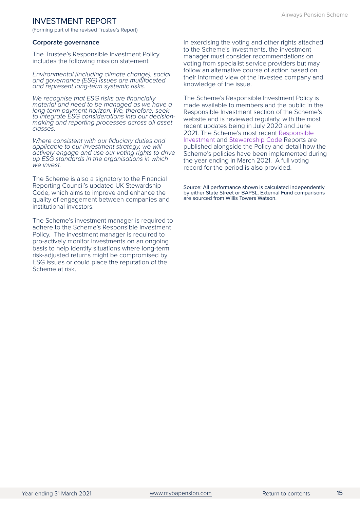(Forming part of the revised Trustee's Report)

#### **Corporate governance**

The Trustee's Responsible Investment Policy includes the following mission statement:

*Environmental (including climate change), social and governance (ESG) issues are multifaceted and represent long-term systemic risks.*

*We recognise that ESG risks are financially material and need to be managed as we have a long-term payment horizon. We, therefore, seek to integrate ESG considerations into our decisionmaking and reporting processes across all asset classes.*

*Where consistent with our fiduciary duties and applicable to our investment strategy, we will actively engage and use our voting rights to drive up ESG standards in the organisations in which we invest.*

The Scheme is also a signatory to the Financial Reporting Council's updated UK Stewardship Code, which aims to improve and enhance the quality of engagement between companies and institutional investors.

The Scheme's investment manager is required to adhere to the Scheme's Responsible Investment Policy. The investment manager is required to pro-actively monitor investments on an ongoing basis to help identify situations where long-term risk-adjusted returns might be compromised by ESG issues or could place the reputation of the Scheme at risk.

In exercising the voting and other rights attached to the Scheme's investments, the investment manager must consider recommendations on voting from specialist service providers but may follow an alternative course of action based on their informed view of the investee company and knowledge of the issue.

The Scheme's Responsible Investment Policy is made available to members and the public in the Responsible Investment section of the Scheme's website and is reviewed regularly, with the most recent updates being in July 2020 and June 2021. The Scheme's most recent [Responsible](https://www.mybapension.com/aps/documents/responsible-investment)  [Investment](https://www.mybapension.com/aps/documents/responsible-investment) and [Stewardship Code R](https://www.mybapension.com/aps/documents/responsible-investment)eports are published alongside the Policy and detail how the Scheme's policies have been implemented during the year ending in March 2021. A full voting record for the period is also provided.

Source: All performance shown is calculated independently by either State Street or BAPSL. External Fund comparisons are sourced from Willis Towers Watson.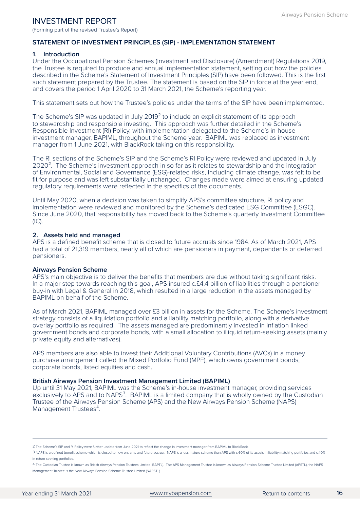(Forming part of the revised Trustee's Report)

### STATEMENT OF INVESTMENT PRINCIPLES (SIP) - IMPLEMENTATION STATEMENT

### **1. Introduction**

Under the Occupational Pension Schemes (Investment and Disclosure) (Amendment) Regulations 2019, the Trustee is required to produce and annual implementation statement, setting out how the policies described in the Scheme's Statement of Investment Principles (SIP) have been followed. This is the first such statement prepared by the Trustee. The statement is based on the SIP in force at the year end, and covers the period 1 April 2020 to 31 March 2021, the Scheme's reporting year.

This statement sets out how the Trustee's policies under the terms of the SIP have been implemented.

The Scheme's SIP was updated in July 2019<sup>2</sup> to include an explicit statement of its approach to stewardship and responsible investing. This approach was further detailed in the Scheme's Responsible Investment (RI) Policy, with implementation delegated to the Scheme's in-house investment manager, BAPIML, throughout the Scheme year. BAPIML was replaced as investment manager from 1 June 2021, with BlackRock taking on this responsibility.

The RI sections of the Scheme's SIP and the Scheme's RI Policy were reviewed and updated in July 2020<sup>2</sup>. The Scheme's investment approach in so far as it relates to stewardship and the integration of Environmental, Social and Governance (ESG)-related risks, including climate change, was felt to be fit for purpose and was left substantially unchanged. Changes made were aimed at ensuring updated regulatory requirements were reflected in the specifics of the documents.

Until May 2020, when a decision was taken to simplify APS's committee structure, RI policy and implementation were reviewed and monitored by the Scheme's dedicated ESG Committee (ESGC). Since June 2020, that responsibility has moved back to the Scheme's quarterly Investment Committee  $(IC).$ 

### **2. Assets held and managed**

APS is a defined benefit scheme that is closed to future accruals since 1984. As of March 2021, APS had a total of 21,319 members, nearly all of which are pensioners in payment, dependents or deferred pensioners.

### **Airways Pension Scheme**

APS's main objective is to deliver the benefits that members are due without taking significant risks. In a major step towards reaching this goal, APS insured c.£4.4 billion of liabilities through a pensioner buy-in with Legal & General in 2018, which resulted in a large reduction in the assets managed by BAPIML on behalf of the Scheme.

As of March 2021, BAPIML managed over £3 billion in assets for the Scheme. The Scheme's investment strategy consists of a liquidation portfolio and a liability matching portfolio, along with a derivative overlay portfolio as required. The assets managed are predominantly invested in inflation linked government bonds and corporate bonds, with a small allocation to illiquid return-seeking assets (mainly private equity and alternatives).

APS members are also able to invest their Additional Voluntary Contributions (AVCs) in a money purchase arrangement called the Mixed Portfolio Fund (MPF), which owns government bonds, corporate bonds, listed equities and cash.

### **British Airways Pension Investment Management Limited (BAPIML)**

Up until 31 May 2021, BAPIML was the Scheme's in-house investment manager, providing services exclusively to APS and to NAPS<sup>3</sup>. BAPIML is a limited company that is wholly owned by the Custodian Trustee of the Airways Pension Scheme (APS) and the New Airways Pension Scheme (NAPS) Management Trustees<sup>4</sup>.

² The Scheme's SIP and RI Policy were further update from June 2021 to reflect the change in investment manager from BAPIML to BlackRock.

³ NAPS is a defined benefit scheme which is closed to new entrants and future accrual. NAPS is a less mature scheme than APS with c.60% of its assets in liability matching portfolios and c.40% in return seeking portfolios.

⁴ The Custodian Trustee is known as British Airways Pension Trustees Limited (BAPTL). The APS Management Trustee is known as Airways Pension Scheme Trustee Limited (APSTL), the NAPS Management Trustee is the New Airways Pension Scheme Trustee Limited (NAPSTL).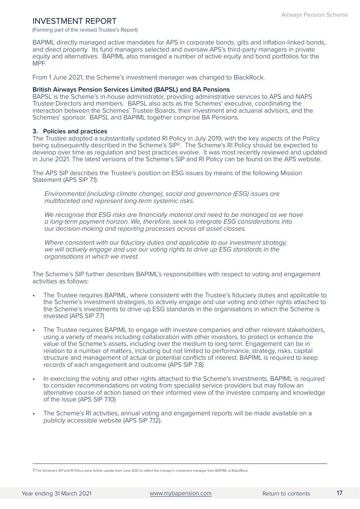(Forming part of the revised Trustee's Report)

BAPIML directly managed active mandates for APS in corporate bonds, gilts and inflation-linked bonds, and direct property. Its fund managers selected and oversaw APS's third-party managers in private equity and alternatives. BAPIML also managed a number of active equity and bond portfolios for the MPF.

From 1 June 2021, the Scheme's investment manager was changed to BlackRock.

### **British Airways Pension Services Limited (BAPSL) and BA Pensions**

BAPSL is the Scheme's in-house administrator, providing administrative services to APS and NAPS Trustee Directors and members. BAPSL also acts as the Schemes' executive, coordinating the interaction between the Schemes' Trustee Boards, their investment and actuarial advisors, and the Schemes' sponsor. BAPSL and BAPIML together comprise BA Pensions.

### **3. Policies and practices**

The Trustee adopted a substantially updated RI Policy in July 2019, with the key aspects of the Policy being subsequently described in the Scheme's SIP<sup>2</sup>. The Scheme's RI Policy should be expected to develop over time as regulation and best practices evolve. It was most recently reviewed and updated in June 2021. The latest versions of the Scheme's SIP and RI Policy can be found on the APS website.

The APS SIP describes the Trustee's position on ESG issues by means of the following Mission Statement (APS SIP 7.1):

*Environmental (including climate change), social and governance (ESG) issues are multifaceted and represent long-term systemic risks.* 

We recognise that ESG risks are financially material and need to be managed as we have *a long-term payment horizon. We, therefore, seek to integrate ESG considerations into our decision-making and reporting processes across all asset classes.* 

*Where consistent with our fiduciary duties and applicable to our investment strategy, we will actively engage and use our voting rights to drive up ESG standards in the organisations in which we invest.* 

The Scheme's SIP further describes BAPIML's responsibilities with respect to voting and engagement activities as follows:

- The Trustee requires BAPIML, where consistent with the Trustee's fiduciary duties and applicable to the Scheme's investment strategies, to actively engage and use voting and other rights attached to the Scheme's investments to drive up ESG standards in the organisations in which the Scheme is invested (APS SIP 7.7)
- The Trustee requires BAPIML to engage with investee companies and other relevant stakeholders, using a variety of means including collaboration with other investors, to protect or enhance the value of the Scheme's assets, including over the medium to long term. Engagement can be in relation to a number of matters, including but not limited to performance, strategy, risks, capital structure and management of actual or potential conflicts of interest. BAPIML is required to keep records of each engagement and outcome (APS SIP 7.8)
- In exercising the voting and other rights attached to the Scheme's investments, BAPIML is required to consider recommendations on voting from specialist service providers but may follow an alternative course of action based on their informed view of the investee company and knowledge of the issue (APS SIP 7.10)
- The Scheme's RI activities, annual voting and engagement reports will be made available on a publicly accessible website (APS SIP 7.12).

² The Scheme's SIP and RI Policy were further update from June 2021 to reflect the change in investment manager from BAPIML to BlackRock.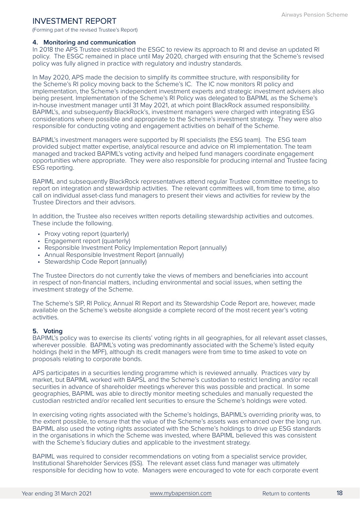(Forming part of the revised Trustee's Report)

### **4. Monitoring and communication**

In 2018 the APS Trustee established the ESGC to review its approach to RI and devise an updated RI policy. The ESGC remained in place until May 2020, charged with ensuring that the Scheme's revised policy was fully aligned in practice with regulatory and industry standards.

In May 2020, APS made the decision to simplify its committee structure, with responsibility for the Scheme's RI policy moving back to the Scheme's IC. The IC now monitors RI policy and implementation, the Scheme's independent investment experts and strategic investment advisers also being present. Implementation of the Scheme's RI Policy was delegated to BAPIML as the Scheme's in-house investment manager until 31 May 2021, at which point BlackRock assumed responsibility. BAPIML's, and subsequently BlackRock's, investment managers were charged with integrating ESG considerations where possible and appropriate to the Scheme's investment strategy. They were also responsible for conducting voting and engagement activities on behalf of the Scheme.

BAPIML's investment managers were supported by RI specialists (the ESG team). The ESG team provided subject matter expertise, analytical resource and advice on RI implementation. The team managed and tracked BAPIML's voting activity and helped fund managers coordinate engagement opportunities where appropriate. They were also responsible for producing internal and Trustee facing ESG reporting.

BAPIML and subsequently BlackRock representatives attend regular Trustee committee meetings to report on integration and stewardship activities. The relevant committees will, from time to time, also call on individual asset-class fund managers to present their views and activities for review by the Trustee Directors and their advisors.

In addition, the Trustee also receives written reports detailing stewardship activities and outcomes. These include the following.

- Proxy voting report (quarterly)
- Engagement report (quarterly)
- Responsible Investment Policy Implementation Report (annually)
- Annual Responsible Investment Report (annually)
- Stewardship Code Report (annually)

The Trustee Directors do not currently take the views of members and beneficiaries into account in respect of non-financial matters, including environmental and social issues, when setting the investment strategy of the Scheme.

The Scheme's SIP, RI Policy, Annual RI Report and its Stewardship Code Report are, however, made available on the Scheme's website alongside a complete record of the most recent year's voting activities.

### **5. Voting**

BAPIML's policy was to exercise its clients' voting rights in all geographies, for all relevant asset classes, wherever possible. BAPIML's voting was predominantly associated with the Scheme's listed equity holdings (held in the MPF), although its credit managers were from time to time asked to vote on proposals relating to corporate bonds.

APS participates in a securities lending programme which is reviewed annually. Practices vary by market, but BAPIML worked with BAPSL and the Scheme's custodian to restrict lending and/or recall securities in advance of shareholder meetings wherever this was possible and practical. In some geographies, BAPIML was able to directly monitor meeting schedules and manually requested the custodian restricted and/or recalled lent securities to ensure the Scheme's holdings were voted.

In exercising voting rights associated with the Scheme's holdings, BAPIML's overriding priority was, to the extent possible, to ensure that the value of the Scheme's assets was enhanced over the long run. BAPIML also used the voting rights associated with the Scheme's holdings to drive up ESG standards in the organisations in which the Scheme was invested, where BAPIML believed this was consistent with the Scheme's fiduciary duties and applicable to the investment strategy.

BAPIML was required to consider recommendations on voting from a specialist service provider, Institutional Shareholder Services (ISS). The relevant asset class fund manager was ultimately responsible for deciding how to vote. Managers were encouraged to vote for each corporate event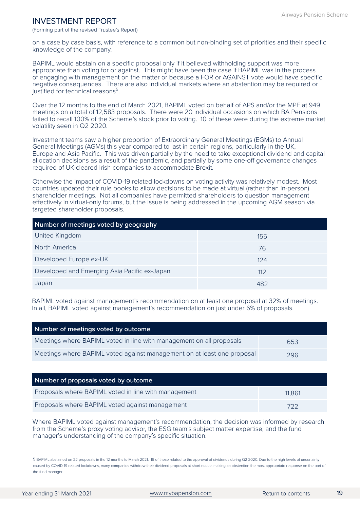(Forming part of the revised Trustee's Report)

on a case by case basis, with reference to a common but non-binding set of priorities and their specific knowledge of the company.

BAPIML would abstain on a specific proposal only if it believed withholding support was more appropriate than voting for or against. This might have been the case if BAPIML was in the process of engaging with management on the matter or because a FOR or AGAINST vote would have specific negative consequences. There are also individual markets where an abstention may be required or justified for technical reasons<sup>5</sup>

Over the 12 months to the end of March 2021, BAPIML voted on behalf of APS and/or the MPF at 949 meetings on a total of 12,583 proposals. There were 20 individual occasions on which BA Pensions failed to recall 100% of the Scheme's stock prior to voting. 10 of these were during the extreme market volatility seen in Q2 2020.

Investment teams saw a higher proportion of Extraordinary General Meetings (EGMs) to Annual General Meetings (AGMs) this year compared to last in certain regions, particularly in the UK, Europe and Asia Pacific. This was driven partially by the need to take exceptional dividend and capital allocation decisions as a result of the pandemic, and partially by some one-off governance changes required of UK-cleared Irish companies to accommodate Brexit.

Otherwise the impact of COVID-19 related lockdowns on voting activity was relatively modest. Most countries updated their rule books to allow decisions to be made at virtual (rather than in-person) shareholder meetings. Not all companies have permitted shareholders to question management effectively in virtual-only forums, but the issue is being addressed in the upcoming AGM season via targeted shareholder proposals.

| Number of meetings voted by geography        |     |  |
|----------------------------------------------|-----|--|
| United Kingdom                               | 155 |  |
| North America                                | 76  |  |
| Developed Europe ex-UK                       | 124 |  |
| Developed and Emerging Asia Pacific ex-Japan | 112 |  |
| Japan                                        | 482 |  |

BAPIML voted against management's recommendation on at least one proposal at 32% of meetings. In all, BAPIML voted against management's recommendation on just under 6% of proposals.

| Number of meetings voted by outcome                                     |     |
|-------------------------------------------------------------------------|-----|
| Meetings where BAPIML voted in line with management on all proposals    | 653 |
| Meetings where BAPIML voted against management on at least one proposal | 296 |

| Number of proposals voted by outcome                 |        |
|------------------------------------------------------|--------|
| Proposals where BAPIML voted in line with management | 11.861 |
| Proposals where BAPIML voted against management      | 722    |

Where BAPIML voted against management's recommendation, the decision was informed by research from the Scheme's proxy voting advisor, the ESG team's subject matter expertise, and the fund manager's understanding of the company's specific situation.

⁵ BAPIML abstained on 22 proposals in the 12 months to March 2021. 16 of these related to the approval of dividends during Q2 2020. Due to the high levels of uncertainty caused by COVID-19 related lockdowns, many companies withdrew their dividend proposals at short notice, making an abstention the most appropriate response on the part of the fund manager.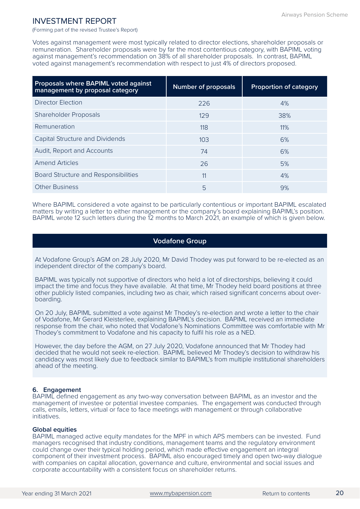(Forming part of the revised Trustee's Report)

Votes against management were most typically related to director elections, shareholder proposals or remuneration. Shareholder proposals were by far the most contentious category, with BAPIML voting against management's recommendation on 38% of all shareholder proposals. In contrast, BAPIML voted against management's recommendation with respect to just 4% of directors proposed.

| Proposals where BAPIML voted against<br>management by proposal category | <b>Number of proposals</b> | <b>Proportion of category</b> |
|-------------------------------------------------------------------------|----------------------------|-------------------------------|
| Director Election                                                       | 226                        | 4%                            |
| <b>Shareholder Proposals</b>                                            | 129                        | 38%                           |
| Remuneration                                                            | 118                        | 11%                           |
| <b>Capital Structure and Dividends</b>                                  | 10.3 <sup>2</sup>          | 6%                            |
| Audit, Report and Accounts                                              | 74                         | 6%                            |
| <b>Amend Articles</b>                                                   | 26                         | 5%                            |
| Board Structure and Responsibilities                                    | 11                         | 4%                            |
| <b>Other Business</b>                                                   | 5                          | 9%                            |

Where BAPIML considered a vote against to be particularly contentious or important BAPIML escalated matters by writing a letter to either management or the company's board explaining BAPIML's position. BAPIML wrote 12 such letters during the 12 months to March 2021, an example of which is given below.

### **Vodafone Group**

At Vodafone Group's AGM on 28 July 2020, Mr David Thodey was put forward to be re-elected as an independent director of the company's board.

BAPIML was typically not supportive of directors who held a lot of directorships, believing it could impact the time and focus they have available. At that time, Mr Thodey held board positions at three other publicly listed companies, including two as chair, which raised significant concerns about overboarding.

On 20 July, BAPIML submitted a vote against Mr Thodey's re-election and wrote a letter to the chair of Vodafone, Mr Gerard Kleisterlee, explaining BAPIML's decision. BAPIML received an immediate response from the chair, who noted that Vodafone's Nominations Committee was comfortable with Mr Thodey's commitment to Vodafone and his capacity to fulfil his role as a NED.

However, the day before the AGM, on 27 July 2020, Vodafone announced that Mr Thodey had decided that he would not seek re-election. BAPIML believed Mr Thodey's decision to withdraw his candidacy was most likely due to feedback similar to BAPIML's from multiple institutional shareholders ahead of the meeting.

### **6. Engagement**

BAPIML defined engagement as any two-way conversation between BAPIML as an investor and the management of investee or potential investee companies. The engagement was conducted through calls, emails, letters, virtual or face to face meetings with management or through collaborative initiatives.

### **Global equities**

BAPIML managed active equity mandates for the MPF in which APS members can be invested. Fund managers recognised that industry conditions, management teams and the regulatory environment could change over their typical holding period, which made effective engagement an integral component of their investment process. BAPIML also encouraged timely and open two-way dialogue with companies on capital allocation, governance and culture, environmental and social issues and corporate accountability with a consistent focus on shareholder returns.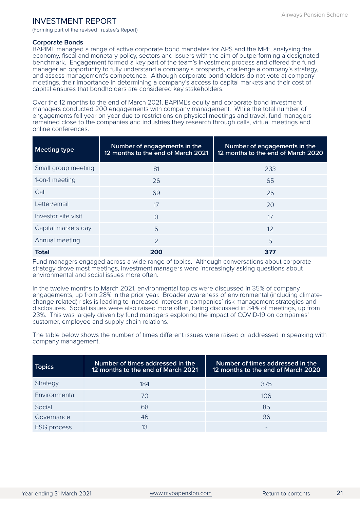(Forming part of the revised Trustee's Report)

### **Corporate Bonds**

BAPIML managed a range of active corporate bond mandates for APS and the MPF, analysing the economy, fiscal and monetary policy, sectors and issuers with the aim of outperforming a designated benchmark. Engagement formed a key part of the team's investment process and offered the fund manager an opportunity to fully understand a company's prospects, challenge a company's strategy, and assess management's competence. Although corporate bondholders do not vote at company meetings, their importance in determining a company's access to capital markets and their cost of capital ensures that bondholders are considered key stakeholders.

Over the 12 months to the end of March 2021, BAPIML's equity and corporate bond investment managers conducted 200 engagements with company management. While the total number of engagements fell year on year due to restrictions on physical meetings and travel, fund managers remained close to the companies and industries they research through calls, virtual meetings and online conferences.

| <b>Meeting type</b> | Number of engagements in the<br>12 months to the end of March 2021 | Number of engagements in the<br>12 months to the end of March 2020 |
|---------------------|--------------------------------------------------------------------|--------------------------------------------------------------------|
| Small group meeting | 81                                                                 | 233                                                                |
| 1-on-1 meeting      | 26                                                                 | 65                                                                 |
| Call                | 69                                                                 | 25                                                                 |
| Letter/email        | 17                                                                 | 20                                                                 |
| Investor site visit | $\Omega$                                                           | 17                                                                 |
| Capital markets day | 5                                                                  | 12                                                                 |
| Annual meeting      | $\mathcal{P}$                                                      | 5                                                                  |
| <b>Total</b>        | 200                                                                | 377                                                                |

Fund managers engaged across a wide range of topics. Although conversations about corporate strategy drove most meetings, investment managers were increasingly asking questions about environmental and social issues more often.

In the twelve months to March 2021, environmental topics were discussed in 35% of company engagements, up from 28% in the prior year. Broader awareness of environmental (including climatechange related) risks is leading to increased interest in companies' risk management strategies and disclosures. Social issues were also raised more often, being discussed in 34% of meetings, up from 23%. This was largely driven by fund managers exploring the impact of COVID-19 on companies' customer, employee and supply chain relations.

The table below shows the number of times different issues were raised or addressed in speaking with company management.

| <b>Topics</b>      | Number of times addressed in the<br>12 months to the end of March 2021 | Number of times addressed in the<br>12 months to the end of March 2020 |
|--------------------|------------------------------------------------------------------------|------------------------------------------------------------------------|
| Strategy           | 184                                                                    | 375                                                                    |
| Environmental      | 70                                                                     | 106                                                                    |
| Social             | 68                                                                     | 85                                                                     |
| Governance         | 46                                                                     | 96                                                                     |
| <b>ESG</b> process | 13                                                                     |                                                                        |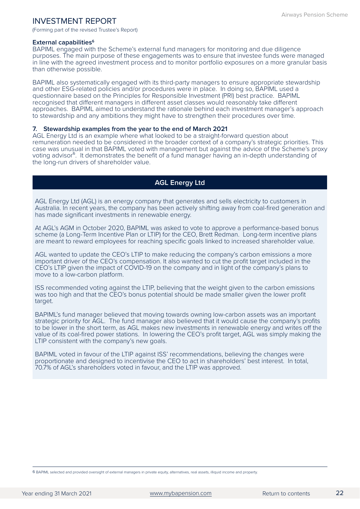(Forming part of the revised Trustee's Report)

### **External capabilities<sup>6</sup>**

BAPIML engaged with the Scheme's external fund managers for monitoring and due diligence purposes. The main purpose of these engagements was to ensure that investee funds were managed in line with the agreed investment process and to monitor portfolio exposures on a more granular basis than otherwise possible.

BAPIML also systematically engaged with its third-party managers to ensure appropriate stewardship and other ESG-related policies and/or procedures were in place. In doing so, BAPIML used a questionnaire based on the Principles for Responsible Investment (PRI) best practice. BAPIML recognised that different managers in different asset classes would reasonably take different approaches. BAPIML aimed to understand the rationale behind each investment manager's approach to stewardship and any ambitions they might have to strengthen their procedures over time.

### **7. Stewardship examples from the year to the end of March 2021**

AGL Energy Ltd is an example where what looked to be a straight-forward question about remuneration needed to be considered in the broader context of a company's strategic priorities. This case was unusual in that BAPIML voted with management but against the advice of the Scheme's proxy voting advisor<sup>6</sup>. It demonstrates the benefit of a fund manager having an in-depth understanding of the long-run drivers of shareholder value.

### **AGL Energy Ltd**

AGL Energy Ltd (AGL) is an energy company that generates and sells electricity to customers in Australia. In recent years, the company has been actively shifting away from coal-fired generation and has made significant investments in renewable energy.

At AGL's AGM in October 2020, BAPIML was asked to vote to approve a performance-based bonus scheme (a Long-Term Incentive Plan or LTIP) for the CEO, Brett Redman. Long-term incentive plans are meant to reward employees for reaching specific goals linked to increased shareholder value.

AGL wanted to update the CEO's LTIP to make reducing the company's carbon emissions a more important driver of the CEO's compensation. It also wanted to cut the profit target included in the CEO's LTIP given the impact of COVID-19 on the company and in light of the company's plans to move to a low-carbon platform.

ISS recommended voting against the LTIP, believing that the weight given to the carbon emissions was too high and that the CEO's bonus potential should be made smaller given the lower profit target.

BAPIML's fund manager believed that moving towards owning low-carbon assets was an important strategic priority for AGL. The fund manager also believed that it would cause the company's profits to be lower in the short term, as AGL makes new investments in renewable energy and writes off the value of its coal-fired power stations. In lowering the CEO's profit target, AGL was simply making the LTIP consistent with the company's new goals.

BAPIML voted in favour of the LTIP against ISS' recommendations, believing the changes were proportionate and designed to incentivise the CEO to act in shareholders' best interest. In total, 70.7% of AGL's shareholders voted in favour, and the LTIP was approved.

⁶ BAPIML selected and provided oversight of external managers in private equity, alternatives, real assets, illiquid income and property.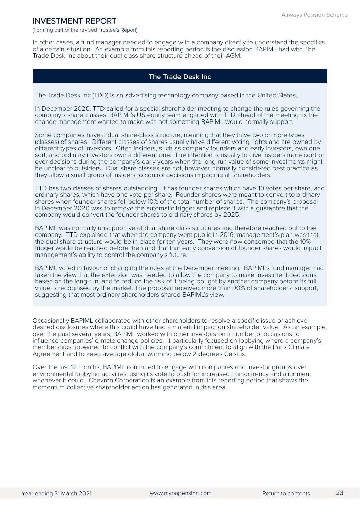(Forming part of the revised Trustee's Report)

In other cases, a fund manager needed to engage with a company directly to understand the specifics of a certain situation. An example from this reporting period is the discussion BAPIML had with The Trade Desk Inc about their dual class share structure ahead of their AGM.

### **The Trade Desk Inc**

The Trade Desk Inc (TDD) is an advertising technology company based in the United States.

In December 2020, TTD called for a special shareholder meeting to change the rules governing the company's share classes. BAPIML's US equity team engaged with TTD ahead of the meeting as the change management wanted to make was not something BAPIML would normally support.

Some companies have a dual share-class structure, meaning that they have two or more types (classes) of shares. Different classes of shares usually have different voting rights and are owned by different types of investors. Often insiders, such as company founders and early investors, own one sort, and ordinary investors own a different one. The intention is usually to give insiders more control over decisions during the company's early years when the long run value of some investments might be unclear to outsiders. Dual share classes are not, however, normally considered best practice as they allow a small group of insiders to control decisions impacting all shareholders.

TTD has two classes of shares outstanding. It has founder shares which have 10 votes per share, and ordinary shares, which have one vote per share. Founder shares were meant to convert to ordinary shares when founder shares fell below 10% of the total number of shares. The company's proposal in December 2020 was to remove the automatic trigger and replace it with a guarantee that the company would convert the founder shares to ordinary shares by 2025.

BAPIML was normally unsupportive of dual share class structures and therefore reached out to the company. TTD explained that when the company went public in 2016, management's plan was that the dual share structure would be in place for ten years. They were now concerned that the 10% trigger would be reached before then and that that early conversion of founder shares would impact management's ability to control the company's future.

BAPIML voted in favour of changing the rules at the December meeting. BAPIML's fund manager had taken the view that the extension was needed to allow the company to make investment decisions based on the long-run, and to reduce the risk of it being bought by another company before its full value is recognised by the market. The proposal received more than 90% of shareholders' support, suggesting that most ordinary shareholders shared BAPIML's view.

Occasionally BAPIML collaborated with other shareholders to resolve a specific issue or achieve desired disclosures where this could have had a material impact on shareholder value. As an example, over the past several years, BAPIML worked with other investors on a number of occasions to influence companies' climate change policies. It particularly focused on lobbying where a company's memberships appeared to conflict with the company's commitment to align with the Paris Climate Agreement and to keep average global warming below 2 degrees Celsius.

Over the last 12 months, BAPIML continued to engage with companies and investor groups over environmental lobbying activities, using its vote to push for increased transparency and alignment whenever it could. Chevron Corporation is an example from this reporting period that shows the momentum collective shareholder action has generated in this area.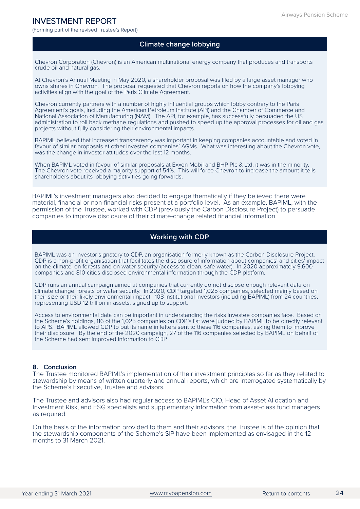(Forming part of the revised Trustee's Report)

### **Climate change lobbying**

Chevron Corporation (Chevron) is an American multinational energy company that produces and transports crude oil and natural gas.

At Chevron's Annual Meeting in May 2020, a shareholder proposal was filed by a large asset manager who owns shares in Chevron. The proposal requested that Chevron reports on how the company's lobbying activities align with the goal of the Paris Climate Agreement.

Chevron currently partners with a number of highly influential groups which lobby contrary to the Paris Agreement's goals, including the American Petroleum Institute (API) and the Chamber of Commerce and National Association of Manufacturing (NAM). The API, for example, has successfully persuaded the US administration to roll back methane regulations and pushed to speed up the approval processes for oil and gas projects without fully considering their environmental impacts.

BAPIML believed that increased transparency was important in keeping companies accountable and voted in favour of similar proposals at other investee companies' AGMs. What was interesting about the Chevron vote, was the change in investor attitudes over the last 12 months.

When BAPIML voted in favour of similar proposals at Exxon Mobil and BHP Plc & Ltd, it was in the minority. The Chevron vote received a majority support of 54%. This will force Chevron to increase the amount it tells shareholders about its lobbying activities going forwards.

BAPIML's investment managers also decided to engage thematically if they believed there were material, financial or non-financial risks present at a portfolio level. As an example, BAPIML, with the permission of the Trustee, worked with CDP (previously the Carbon Disclosure Project) to persuade companies to improve disclosure of their climate-change related financial information.

### **Working with CDP**

BAPIML was an investor signatory to CDP, an organisation formerly known as the Carbon Disclosure Project. CDP is a non-profit organisation that facilitates the disclosure of information about companies' and cities' impact on the climate, on forests and on water security (access to clean, safe water). In 2020 approximately 9,600 companies and 810 cities disclosed environmental information through the CDP platform.

CDP runs an annual campaign aimed at companies that currently do not disclose enough relevant data on climate change, forests or water security. In 2020, CDP targeted 1,025 companies, selected mainly based on their size or their likely environmental impact. 108 institutional investors (including BAPIML) from 24 countries, representing USD 12 trillion in assets, signed up to support.

Access to environmental data can be important in understanding the risks investee companies face. Based on the Scheme's holdings, 116 of the 1,025 companies on CDP's list were judged by BAPIML to be directly relevant to APS. BAPIML allowed CDP to put its name in letters sent to these 116 companies, asking them to improve their disclosure. By the end of the 2020 campaign, 27 of the 116 companies selected by BAPIML on behalf of the Scheme had sent improved information to CDP.

### **8. Conclusion**

The Trustee monitored BAPIML's implementation of their investment principles so far as they related to stewardship by means of written quarterly and annual reports, which are interrogated systematically by the Scheme's Executive, Trustee and advisors.

The Trustee and advisors also had regular access to BAPIML's CIO, Head of Asset Allocation and Investment Risk, and ESG specialists and supplementary information from asset-class fund managers as required.

On the basis of the information provided to them and their advisors, the Trustee is of the opinion that the stewardship components of the Scheme's SIP have been implemented as envisaged in the 12 months to 31 March 2021.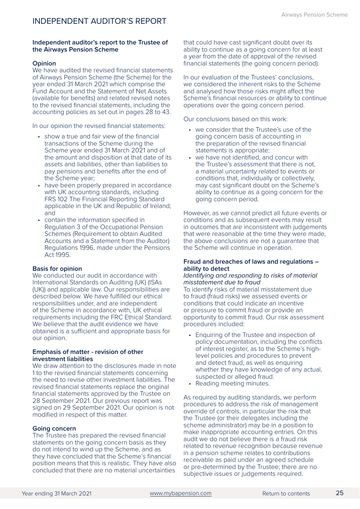### <span id="page-27-0"></span>**Independent auditor's report to the Trustee of the Airways Pension Scheme**

### **Opinion**

We have audited the revised financial statements of Airways Pension Scheme (the Scheme) for the year ended 31 March 2021 which comprise the Fund Account and the Statement of Net Assets (available for benefits) and related revised notes to the revised financial statements, including the accounting policies as set out in pages 28 to 43.

In our opinion the revised financial statements:

- show a true and fair view of the financial transactions of the Scheme during the Scheme year ended 31 March 2021 and of the amount and disposition at that date of its assets and liabilities, other than liabilities to pay pensions and benefits after the end of the Scheme year;
- have been properly prepared in accordance with UK accounting standards, including FRS 102 The Financial Reporting Standard applicable in the UK and Republic of Ireland; and
- contain the information specified in Regulation 3 of the Occupational Pension Schemes (Requirement to obtain Audited Accounts and a Statement from the Auditor) Regulations 1996, made under the Pensions Act 1995.

### **Basis for opinion**

We conducted our audit in accordance with International Standards on Auditing (UK) (ISAs (UK)) and applicable law. Our responsibilities are described below. We have fulfilled our ethical responsibilities under, and are independent of the Scheme in accordance with, UK ethical requirements including the FRC Ethical Standard. We believe that the audit evidence we have obtained is a sufficient and appropriate basis for our opinion.

#### **Emphasis of matter - revision of other investment liabilities**

We draw attention to the disclosures made in note 1 to the revised financial statements concerning the need to revise other investment liabilities. The revised financial statements replace the original financial statements approved by the Trustee on 28 September 2021. Our previous report was signed on 29 September 2021. Our opinion is not modified in respect of this matter.

### **Going concern**

The Trustee has prepared the revised financial statements on the going concern basis as they do not intend to wind up the Scheme, and as they have concluded that the Scheme's financial position means that this is realistic. They have also concluded that there are no material uncertainties

that could have cast significant doubt over its ability to continue as a going concern for at least a year from the date of approval of the revised financial statements (the going concern period).

In our evaluation of the Trustees' conclusions, we considered the inherent risks to the Scheme and analysed how those risks might affect the Scheme's financial resources or ability to continue operations over the going concern period.

Our conclusions based on this work:

- we consider that the Trustee's use of the going concern basis of accounting in the preparation of the revised financial statements is appropriate;
- we have not identified, and concur with the Trustee's assessment that there is not, a material uncertainty related to events or conditions that, individually or collectively, may cast significant doubt on the Scheme's ability to continue as a going concern for the going concern period.

However, as we cannot predict all future events or conditions and as subsequent events may result in outcomes that are inconsistent with judgements that were reasonable at the time they were made, the above conclusions are not a guarantee that the Scheme will continue in operation.

### **Fraud and breaches of laws and regulations – ability to detect**

### *Identifying and responding to risks of material misstatement due to fraud*

To identify risks of material misstatement due to fraud (fraud risks) we assessed events or conditions that could indicate an incentive or pressure to commit fraud or provide an opportunity to commit fraud. Our risk assessment procedures included:

- Enquiring of the Trustee and inspection of policy documentation, including the conflicts of interest register, as to the Scheme's highlevel policies and procedures to prevent and detect fraud, as well as enquiring whether they have knowledge of any actual, suspected or alleged fraud.
- Reading meeting minutes.

As required by auditing standards, we perform procedures to address the risk of management override of controls, in particular the risk that the Trustee (or their delegates including the scheme administrator) may be in a position to make inappropriate accounting entries. On this audit we do not believe there is a fraud risk related to revenue recognition because revenue in a pension scheme relates to contributions receivable as paid under an agreed schedule or pre-determined by the Trustee; there are no subjective issues or judgements required.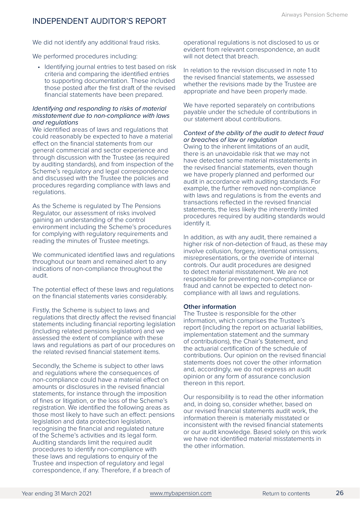### INDEPENDENT AUDITOR'S REPORT

We did not identify any additional fraud risks.

We performed procedures including:

• Identifying journal entries to test based on risk criteria and comparing the identified entries to supporting documentation. These included those posted after the first draft of the revised financial statements have been prepared.

### *Identifying and responding to risks of material misstatement due to non-compliance with laws and regulations*

We identified areas of laws and regulations that could reasonably be expected to have a material effect on the financial statements from our general commercial and sector experience and through discussion with the Trustee (as required by auditing standards), and from inspection of the Scheme's regulatory and legal correspondence and discussed with the Trustee the policies and procedures regarding compliance with laws and regulations.

As the Scheme is regulated by The Pensions Regulator, our assessment of risks involved gaining an understanding of the control environment including the Scheme's procedures for complying with regulatory requirements and reading the minutes of Trustee meetings.

We communicated identified laws and regulations throughout our team and remained alert to any indications of non-compliance throughout the audit.

The potential effect of these laws and regulations on the financial statements varies considerably.

Firstly, the Scheme is subject to laws and regulations that directly affect the revised financial statements including financial reporting legislation (including related pensions legislation) and we assessed the extent of compliance with these laws and regulations as part of our procedures on the related revised financial statement items.

Secondly, the Scheme is subject to other laws and regulations where the consequences of non-compliance could have a material effect on amounts or disclosures in the revised financial statements, for instance through the imposition of fines or litigation, or the loss of the Scheme's registration. We identified the following areas as those most likely to have such an effect: pensions legislation and data protection legislation, recognising the financial and regulated nature of the Scheme's activities and its legal form. Auditing standards limit the required audit procedures to identify non-compliance with these laws and regulations to enquiry of the Trustee and inspection of regulatory and legal correspondence, if any. Therefore, if a breach of

operational regulations is not disclosed to us or evident from relevant correspondence, an audit will not detect that breach.

In relation to the revision discussed in note 1 to the revised financial statements, we assessed whether the revisions made by the Trustee are appropriate and have been properly made.

We have reported separately on contributions payable under the schedule of contributions in our statement about contributions.

### *Context of the ability of the audit to detect fraud or breaches of law or regulation*

Owing to the inherent limitations of an audit, there is an unavoidable risk that we may not have detected some material misstatements in the revised financial statements, even though we have properly planned and performed our audit in accordance with auditing standards. For example, the further removed non-compliance with laws and regulations is from the events and transactions reflected in the revised financial statements, the less likely the inherently limited procedures required by auditing standards would identify it.

In addition, as with any audit, there remained a higher risk of non-detection of fraud, as these may involve collusion, forgery, intentional omissions, misrepresentations, or the override of internal controls. Our audit procedures are designed to detect material misstatement. We are not responsible for preventing non-compliance or fraud and cannot be expected to detect noncompliance with all laws and regulations.

### **Other information**

The Trustee is responsible for the other information, which comprises the Trustee's report (including the report on actuarial liabilities, implementation statement and the summary of contributions), the Chair's Statement, and the actuarial certification of the schedule of contributions. Our opinion on the revised financial statements does not cover the other information and, accordingly, we do not express an audit opinion or any form of assurance conclusion thereon in this report.

Our responsibility is to read the other information and, in doing so, consider whether, based on our revised financial statements audit work, the information therein is materially misstated or inconsistent with the revised financial statements or our audit knowledge. Based solely on this work we have not identified material misstatements in the other information.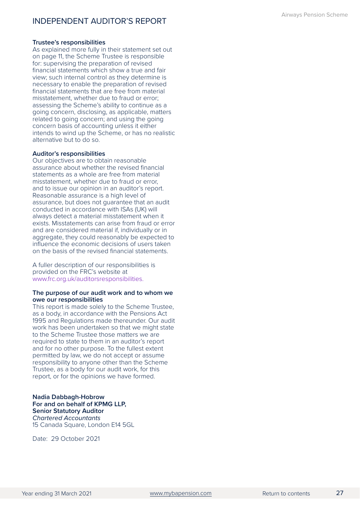### **Trustee's responsibilities**

As explained more fully in their statement set out on page 11, the Scheme Trustee is responsible for: supervising the preparation of revised financial statements which show a true and fair view; such internal control as they determine is necessary to enable the preparation of revised financial statements that are free from material misstatement, whether due to fraud or error; assessing the Scheme's ability to continue as a going concern, disclosing, as applicable, matters related to going concern; and using the going concern basis of accounting unless it either intends to wind up the Scheme, or has no realistic alternative but to do so.

### **Auditor's responsibilities**

Our objectives are to obtain reasonable assurance about whether the revised financial statements as a whole are free from material misstatement, whether due to fraud or error, and to issue our opinion in an auditor's report. Reasonable assurance is a high level of assurance, but does not guarantee that an audit conducted in accordance with ISAs (UK) will always detect a material misstatement when it exists. Misstatements can arise from fraud or error and are considered material if, individually or in aggregate, they could reasonably be expected to influence the economic decisions of users taken on the basis of the revised financial statements.

A fuller description of our responsibilities is provided on the FRC's website at [www.frc.org.uk/auditorsresponsibilities.](http://www.frc.org.uk/auditorsresponsibilities)

#### **The purpose of our audit work and to whom we owe our responsibilities**

This report is made solely to the Scheme Trustee, as a body, in accordance with the Pensions Act 1995 and Regulations made thereunder. Our audit work has been undertaken so that we might state to the Scheme Trustee those matters we are required to state to them in an auditor's report and for no other purpose. To the fullest extent permitted by law, we do not accept or assume responsibility to anyone other than the Scheme Trustee, as a body for our audit work, for this report, or for the opinions we have formed.

**Nadia Dabbagh-Hobrow For and on behalf of KPMG LLP, Senior Statutory Auditor**  *Chartered Accountants*  15 Canada Square, London E14 5GL

Date: 29 October 2021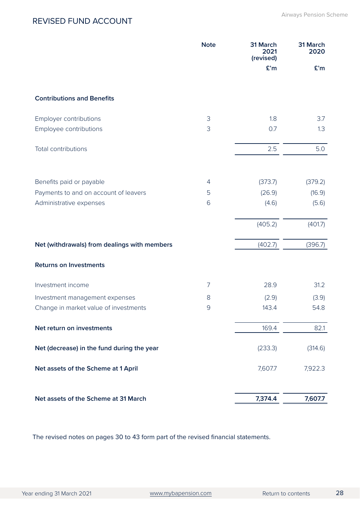### <span id="page-30-0"></span>REVISED FUND ACCOUNT

|                                                                   | <b>Note</b>         | 31 March<br>2021<br>(revised) | 31 March<br>2020  |
|-------------------------------------------------------------------|---------------------|-------------------------------|-------------------|
|                                                                   |                     | £'m                           | E'm               |
| <b>Contributions and Benefits</b>                                 |                     |                               |                   |
| Employer contributions                                            | 3                   | 1.8                           | 3.7               |
| Employee contributions                                            | 3                   | 0.7                           | 1.3               |
| Total contributions                                               |                     | 2.5                           | 5.0               |
|                                                                   |                     |                               |                   |
| Benefits paid or payable<br>Payments to and on account of leavers | $\overline{4}$<br>5 | (373.7)<br>(26.9)             | (379.2)<br>(16.9) |
| Administrative expenses                                           | 6                   | (4.6)                         | (5.6)             |
|                                                                   |                     | (405.2)                       | (401.7)           |
| Net (withdrawals) from dealings with members                      |                     | (402.7)                       | (396.7)           |
| <b>Returns on Investments</b>                                     |                     |                               |                   |
| Investment income                                                 | 7                   | 28.9                          | 31.2              |
| Investment management expenses                                    | 8                   | (2.9)                         | (3.9)             |
| Change in market value of investments                             | $\mathcal{G}$       | 143.4                         | 54.8              |
| Net return on investments                                         |                     | 169.4                         | 82.1              |
| Net (decrease) in the fund during the year                        |                     | (233.3)                       | (314.6)           |
| Net assets of the Scheme at 1 April                               |                     | 7,607.7                       | 7,922.3           |
| Net assets of the Scheme at 31 March                              |                     | 7,374.4                       | 7,607.7           |

The revised notes on pages 30 to 43 form part of the revised financial statements.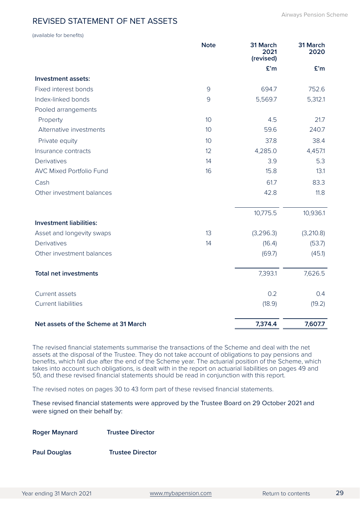### <span id="page-31-0"></span>REVISED STATEMENT OF NET ASSETS

(available for benefits)

|                                      | <b>Note</b>    | 31 March<br>2021<br>(revised) | 31 March<br>2020 |
|--------------------------------------|----------------|-------------------------------|------------------|
|                                      |                | £'m                           | £'m              |
| Investment assets:                   |                |                               |                  |
| Fixed interest bonds                 | $\overline{9}$ | 694.7                         | 752.6            |
| Index-linked bonds                   | 9              | 5,569.7                       | 5,312.1          |
| Pooled arrangements                  |                |                               |                  |
| Property                             | 10             | 4.5                           | 21.7             |
| Alternative investments              | 10             | 59.6                          | 240.7            |
| Private equity                       | 10             | 37.8                          | 38.4             |
| Insurance contracts                  | 12             | 4,285.0                       | 4,457.1          |
| Derivatives                          | 14             | 3.9                           | 5.3              |
| <b>AVC Mixed Portfolio Fund</b>      | 16             | 15.8                          | 13.1             |
| Cash                                 |                | 61.7                          | 83.3             |
| Other investment balances            |                | 42.8                          | 11.8             |
|                                      |                | 10,775.5                      | 10,936.1         |
| <b>Investment liabilities:</b>       |                |                               |                  |
| Asset and longevity swaps            | 13             | (3,296.3)                     | (3,210.8)        |
| Derivatives                          | 14             | (16.4)                        | (53.7)           |
| Other investment balances            |                | (69.7)                        | (45.1)           |
| <b>Total net investments</b>         |                | 7,393.1                       | 7,626.5          |
| Current assets                       |                | 0.2                           | 0.4              |
| <b>Current liabilities</b>           |                | (18.9)                        | (19.2)           |
| Net assets of the Scheme at 31 March |                | 7,374.4                       | 7,607.7          |

The revised financial statements summarise the transactions of the Scheme and deal with the net assets at the disposal of the Trustee. They do not take account of obligations to pay pensions and benefits, which fall due after the end of the Scheme year. The actuarial position of the Scheme, which takes into account such obligations, is dealt with in the report on actuarial liabilities on pages 49 and 50, and these revised financial statements should be read in conjunction with this report.

The revised notes on pages 30 to 43 form part of these revised financial statements.

These revised financial statements were approved by the Trustee Board on 29 October 2021 and were signed on their behalf by:

**Roger Maynard Trustee Director**

**Paul Douglas Trustee Director**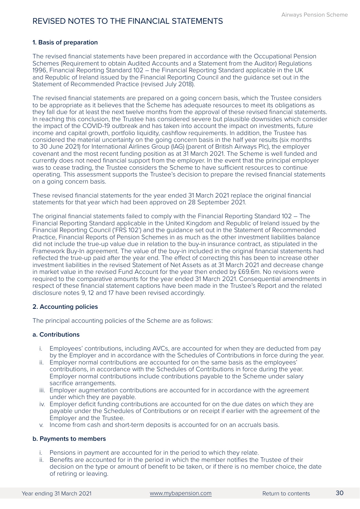### <span id="page-32-0"></span>**1. Basis of preparation**

The revised financial statements have been prepared in accordance with the Occupational Pension Schemes (Requirement to obtain Audited Accounts and a Statement from the Auditor) Regulations 1996, Financial Reporting Standard 102 – the Financial Reporting Standard applicable in the UK and Republic of Ireland issued by the Financial Reporting Council and the guidance set out in the Statement of Recommended Practice (revised July 2018).

The revised financial statements are prepared on a going concern basis, which the Trustee considers to be appropriate as it believes that the Scheme has adequate resources to meet its obligations as they fall due for at least the next twelve months from the approval of these revised financial statements. In reaching this conclusion, the Trustee has considered severe but plausible downsides which consider the impact of the COVID-19 outbreak and has taken into account the impact on investments, future income and capital growth, portfolio liquidity, cashflow requirements. In addition, the Trustee has considered the material uncertainty on the going concern basis in the half year results (six months to 30 June 2021) for International Airlines Group (IAG) (parent of British Airways Plc), the employer covenant and the most recent funding position as at 31 March 2021. The Scheme is well funded and currently does not need financial support from the employer. In the event that the principal employer was to cease trading, the Trustee considers the Scheme to have sufficient resources to continue operating. This assessment supports the Trustee's decision to prepare the revised financial statements on a going concern basis.

These revised financial statements for the year ended 31 March 2021 replace the original financial statements for that year which had been approved on 28 September 2021.

The original financial statements failed to comply with the Financial Reporting Standard 102 – The Financial Reporting Standard applicable in the United Kingdom and Republic of Ireland issued by the Financial Reporting Council ('FRS 102') and the guidance set out in the Statement of Recommended Practice, Financial Reports of Pension Schemes in as much as the other investment liabilities balance did not include the true-up value due in relation to the buy-in insurance contract, as stipulated in the Framework Buy-In agreement. The value of the buy-in included in the original financial statements had reflected the true-up paid after the year end. The effect of correcting this has been to increase other investment liabilities in the revised Statement of Net Assets as at 31 March 2021 and decrease change in market value in the revised Fund Account for the year then ended by £69.6m. No revisions were required to the comparative amounts for the year ended 31 March 2021. Consequential amendments in respect of these financial statement captions have been made in the Trustee's Report and the related disclosure notes 9, 12 and 17 have been revised accordingly.

### **2. Accounting policies**

The principal accounting policies of the Scheme are as follows:

### **a. Contributions**

- i. Employees' contributions, including AVCs, are accounted for when they are deducted from pay by the Employer and in accordance with the Schedules of Contributions in force during the year.
- ii. Employer normal contributions are accounted for on the same basis as the employees' contributions, in accordance with the Schedules of Contributions in force during the year. Employer normal contributions include contributions payable to the Scheme under salary sacrifice arrangements.
- iii. Employer augmentation contributions are accounted for in accordance with the agreement under which they are payable.
- iv. Employer deficit funding contributions are accounted for on the due dates on which they are payable under the Schedules of Contributions or on receipt if earlier with the agreement of the Employer and the Trustee.
- v. Income from cash and short-term deposits is accounted for on an accruals basis.

### **b. Payments to members**

- i. Pensions in payment are accounted for in the period to which they relate.
- ii. Benefits are accounted for in the period in which the member notifies the Trustee of their decision on the type or amount of benefit to be taken, or if there is no member choice, the date of retiring or leaving.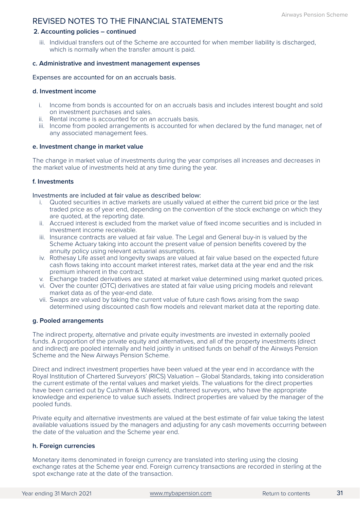### **2. Accounting policies – continued**

iii. Individual transfers out of the Scheme are accounted for when member liability is discharged, which is normally when the transfer amount is paid.

### **c. Administrative and investment management expenses**

Expenses are accounted for on an accruals basis.

### **d. Investment income**

- i. Income from bonds is accounted for on an accruals basis and includes interest bought and sold on investment purchases and sales.
- ii. Rental income is accounted for on an accruals basis.
- iii. Income from pooled arrangements is accounted for when declared by the fund manager, net of any associated management fees.

### **e. Investment change in market value**

The change in market value of investments during the year comprises all increases and decreases in the market value of investments held at any time during the year.

### **f. Investments**

### Investments are included at fair value as described below:

- i. Quoted securities in active markets are usually valued at either the current bid price or the last traded price as of year end, depending on the convention of the stock exchange on which they are quoted, at the reporting date.
- ii. Accrued interest is excluded from the market value of fixed income securities and is included in investment income receivable.
- iii. Insurance contracts are valued at fair value. The Legal and General buy-in is valued by the Scheme Actuary taking into account the present value of pension benefits covered by the annuity policy using relevant actuarial assumptions.
- iv. Rothesay Life asset and longevity swaps are valued at fair value based on the expected future cash flows taking into account market interest rates, market data at the year end and the risk premium inherent in the contract.
- v. Exchange traded derivatives are stated at market value determined using market quoted prices.
- vi. Over the counter (OTC) derivatives are stated at fair value using pricing models and relevant market data as of the year-end date.
- vii. Swaps are valued by taking the current value of future cash flows arising from the swap determined using discounted cash flow models and relevant market data at the reporting date.

### **g. Pooled arrangements**

The indirect property, alternative and private equity investments are invested in externally pooled funds. A proportion of the private equity and alternatives, and all of the property investments (direct and indirect) are pooled internally and held jointly in unitised funds on behalf of the Airways Pension Scheme and the New Airways Pension Scheme.

Direct and indirect investment properties have been valued at the year end in accordance with the Royal Institution of Chartered Surveyors' (RICS) Valuation – Global Standards, taking into consideration the current estimate of the rental values and market yields. The valuations for the direct properties have been carried out by Cushman & Wakefield, chartered surveyors, who have the appropriate knowledge and experience to value such assets. Indirect properties are valued by the manager of the pooled funds.

Private equity and alternative investments are valued at the best estimate of fair value taking the latest available valuations issued by the managers and adjusting for any cash movements occurring between the date of the valuation and the Scheme year end.

### **h. Foreign currencies**

Monetary items denominated in foreign currency are translated into sterling using the closing exchange rates at the Scheme year end. Foreign currency transactions are recorded in sterling at the spot exchange rate at the date of the transaction.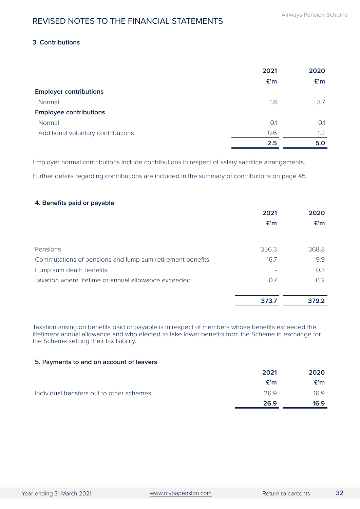### **3. Contributions**

|                                    | 2021 | 2020 |
|------------------------------------|------|------|
|                                    | £'m  | £'m  |
| <b>Employer contributions</b>      |      |      |
| Normal                             | 1.8  | 3.7  |
| <b>Employee contributions</b>      |      |      |
| Normal                             | 0.1  | 0.1  |
| Additional voluntary contributions | 0.6  | 1.2  |
|                                    | 2.5  | 5.0  |

Employer normal contributions include contributions in respect of salary sacrifice arrangements.

Further details regarding contributions are included in the summary of contributions on page 45.

### **4. Benefits paid or payable**

|                                                           | 2021  | 2020          |
|-----------------------------------------------------------|-------|---------------|
|                                                           | £'m   | E'm           |
|                                                           |       |               |
| Pensions                                                  | 356.3 | 368.8         |
| Commutations of pensions and lump sum retirement benefits | 16.7  | 9.9           |
| Lump sum death benefits                                   |       | 0.3           |
| Taxation where lifetime or annual allowance exceeded      | 0.7   | $0.2^{\circ}$ |
|                                                           |       |               |
|                                                           | 373.7 | 379.2         |

Taxation arising on benefits paid or payable is in respect of members whose benefits exceeded the lifetimeor annual allowance and who elected to take lower benefits from the Scheme in exchange for the Scheme settling their tax liability.

### **5. Payments to and on account of leavers**

|                                           | 2021 | 2020 |
|-------------------------------------------|------|------|
|                                           | E'm  | £'m  |
| Individual transfers out to other schemes | 26.9 | 16.9 |
|                                           | 26.9 | 16.9 |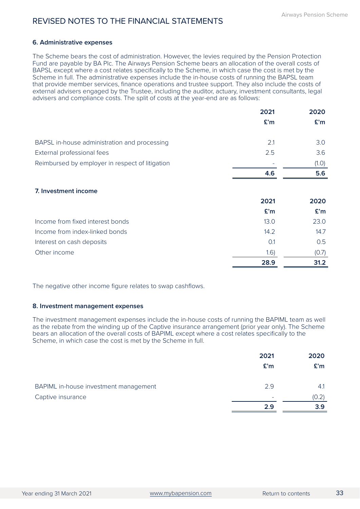### **6. Administrative expenses**

The Scheme bears the cost of administration. However, the levies required by the Pension Protection Fund are payable by BA Plc. The Airways Pension Scheme bears an allocation of the overall costs of BAPSL except where a cost relates specifically to the Scheme, in which case the cost is met by the Scheme in full. The administrative expenses include the in-house costs of running the BAPSL team that provide member services, finance operations and trustee support. They also include the costs of external advisers engaged by the Trustee, including the auditor, actuary, investment consultants, legal advisers and compliance costs. The split of costs at the year-end are as follows:

|                                                 | 2021 | 2020  |
|-------------------------------------------------|------|-------|
|                                                 | £'m  | E'm   |
| BAPSL in-house administration and processing    | 2.1  | 3.0   |
| External professional fees                      | 2.5  | 3.6   |
| Reimbursed by employer in respect of litigation |      | (1.0) |
|                                                 | 4.6  | 5.6   |
| 7. Investment income                            |      |       |
|                                                 | 2021 | 2020  |
|                                                 | £'m  | E'm   |
| Income from fixed interest bonds                | 13.0 | 23.0  |
| Income from index-linked bonds                  | 14.2 | 14.7  |
| Interest on cash deposits                       | O.1  | 0.5   |
| Other income                                    | 1.6) | (0.7) |
|                                                 | 28.9 | 31.2  |

The negative other income figure relates to swap cashflows.

### **8. Investment management expenses**

The investment management expenses include the in-house costs of running the BAPIML team as well as the rebate from the winding up of the Captive insurance arrangement (prior year only). The Scheme bears an allocation of the overall costs of BAPIML except where a cost relates specifically to the Scheme, in which case the cost is met by the Scheme in full.

|                                       | 2021 | 2020  |
|---------------------------------------|------|-------|
|                                       | E'm  | E'm   |
|                                       |      |       |
| BAPIML in-house investment management | 2.9  | 4.1   |
| Captive insurance                     | -    | (0.2) |
|                                       | 2.9  | 3.9   |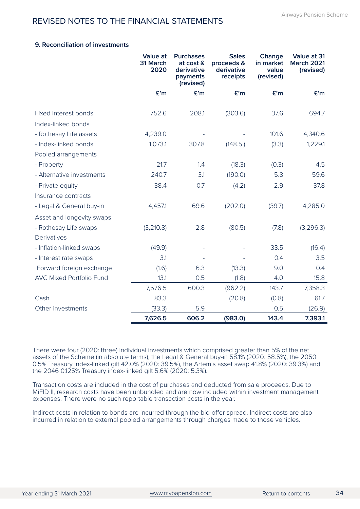### **9. Reconciliation of investments**

|                                 | <b>Value at</b><br>31 March<br>2020 | <b>Purchases</b><br>at cost &<br>derivative<br>payments<br>(revised) | <b>Sales</b><br>proceeds &<br>derivative<br>receipts | Change<br>in market<br>value<br>(revised) | Value at 31<br><b>March 2021</b><br>(revised) |
|---------------------------------|-------------------------------------|----------------------------------------------------------------------|------------------------------------------------------|-------------------------------------------|-----------------------------------------------|
|                                 | £'m                                 | £'m                                                                  | £'m                                                  | £'m                                       | £'m                                           |
| Fixed interest bonds            | 752.6                               | 208.1                                                                | (303.6)                                              | 37.6                                      | 694.7                                         |
| Index-linked bonds              |                                     |                                                                      |                                                      |                                           |                                               |
| - Rothesay Life assets          | 4,239.0                             |                                                                      |                                                      | 101.6                                     | 4,340.6                                       |
| - Index-linked bonds            | 1,073.1                             | 307.8                                                                | (148.5.)                                             | (3.3)                                     | 1,229.1                                       |
| Pooled arrangements             |                                     |                                                                      |                                                      |                                           |                                               |
| - Property                      | 21.7                                | 1.4                                                                  | (18.3)                                               | (0.3)                                     | 4.5                                           |
| - Alternative investments       | 240.7                               | 3.1                                                                  | (190.0)                                              | 5.8                                       | 59.6                                          |
| - Private equity                | 38.4                                | 0.7                                                                  | (4.2)                                                | 2.9                                       | 37.8                                          |
| Insurance contracts             |                                     |                                                                      |                                                      |                                           |                                               |
| - Legal & General buy-in        | 4,457.1                             | 69.6                                                                 | (202.0)                                              | (39.7)                                    | 4,285.0                                       |
| Asset and longevity swaps       |                                     |                                                                      |                                                      |                                           |                                               |
| - Rothesay Life swaps           | (3,210.8)                           | 2.8                                                                  | (80.5)                                               | (7.8)                                     | (3,296.3)                                     |
| Derivatives                     |                                     |                                                                      |                                                      |                                           |                                               |
| - Inflation-linked swaps        | (49.9)                              |                                                                      |                                                      | 33.5                                      | (16.4)                                        |
| - Interest rate swaps           | 3.1                                 |                                                                      |                                                      | 0.4                                       | 3.5                                           |
| Forward foreign exchange        | (1.6)                               | 6.3                                                                  | (13.3)                                               | 9.0                                       | 0.4                                           |
| <b>AVC Mixed Portfolio Fund</b> | 13.1                                | 0.5                                                                  | (1.8)                                                | 4.0                                       | 15.8                                          |
|                                 | 7,576.5                             | 600.3                                                                | (962.2)                                              | 143.7                                     | 7,358.3                                       |
| Cash                            | 83.3                                |                                                                      | (20.8)                                               | (0.8)                                     | 61.7                                          |
| Other investments               | (33.3)                              | 5.9                                                                  |                                                      | 0.5                                       | (26.9)                                        |
|                                 | 7,626.5                             | 606.2                                                                | (983.0)                                              | 143.4                                     | 7,393.1                                       |

There were four (2020: three) individual investments which comprised greater than 5% of the net assets of the Scheme (in absolute terms); the Legal & General buy-in 58.1% (2020: 58.5%), the 2050 0.5% Treasury index-linked gilt 42.0% (2020: 39.5%), the Artemis asset swap 41.8% (2020: 39.3%) and the 2046 0.125% Treasury index-linked gilt 5.6% (2020: 5.3%).

Transaction costs are included in the cost of purchases and deducted from sale proceeds. Due to MiFID II, research costs have been unbundled and are now included within investment management expenses. There were no such reportable transaction costs in the year.

Indirect costs in relation to bonds are incurred through the bid-offer spread. Indirect costs are also incurred in relation to external pooled arrangements through charges made to those vehicles.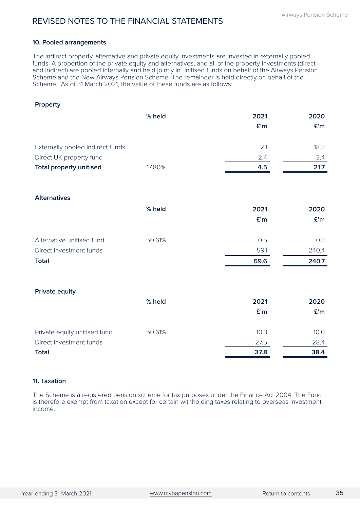### **10. Pooled arrangements**

The indirect property, alternative and private equity investments are invested in externally pooled funds. A proportion of the private equity and alternatives, and all of the property investments (direct and indirect) are pooled internally and held jointly in unitised funds on behalf of the Airways Pension Scheme and the New Airways Pension Scheme. The remainder is held directly on behalf of the Scheme. As of 31 March 2021, the value of these funds are as follows:

| Property                         |        |      |       |
|----------------------------------|--------|------|-------|
|                                  | % held | 2021 | 2020  |
|                                  |        | £'m  | £'m   |
| Externally pooled indirect funds |        | 2.1  | 18.3  |
| Direct UK property fund          |        | 2.4  | 3.4   |
| <b>Total property unitised</b>   | 17.80% | 4.5  | 21.7  |
| <b>Alternatives</b>              |        |      |       |
|                                  | % held | 2021 | 2020  |
|                                  |        | £'m  | £'m   |
| Alternative unitised fund        | 50.61% | 0.5  | 0.3   |
| Direct investment funds          |        | 59.1 | 240.4 |
| <b>Total</b>                     |        | 59.6 | 240.7 |
| <b>Private equity</b>            |        |      |       |
|                                  | % held | 2021 | 2020  |
|                                  |        | £'m  | £'m   |
| Private equity unitised fund     | 50.61% | 10.3 | 10.0  |
| Direct investment funds          |        | 27.5 | 28.4  |
| <b>Total</b>                     |        | 37.8 | 38.4  |

### **11. Taxation**

The Scheme is a registered pension scheme for tax purposes under the Finance Act 2004. The Fund is therefore exempt from taxation except for certain withholding taxes relating to overseas investment income.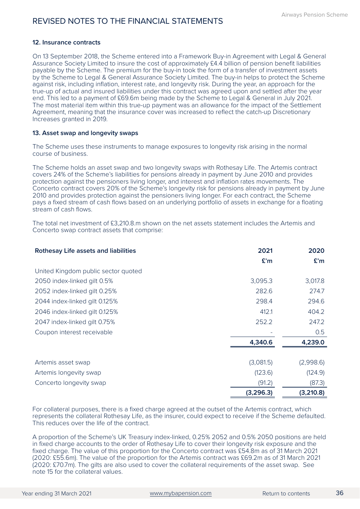### **12. Insurance contracts**

On 13 September 2018, the Scheme entered into a Framework Buy-in Agreement with Legal & General Assurance Society Limited to insure the cost of approximately £4.4 billion of pension benefit liabilities payable by the Scheme. The premium for the buy-in took the form of a transfer of investment assets by the Scheme to Legal & General Assurance Society Limited. The buy-in helps to protect the Scheme against risk, including inflation, interest rate, and longevity risk. During the year, an approach for the true-up of actual and insured liabilities under this contract was agreed upon and settled after the year end. This led to a payment of £69.6m being made by the Scheme to Legal & General in July 2021. The most material item within this true-up payment was an allowance for the impact of the Settlement Agreement, meaning that the insurance cover was increased to reflect the catch-up Discretionary Increases granted in 2019.

### **13. Asset swap and longevity swaps**

The Scheme uses these instruments to manage exposures to longevity risk arising in the normal course of business.

The Scheme holds an asset swap and two longevity swaps with Rothesay Life. The Artemis contract covers 24% of the Scheme's liabilities for pensions already in payment by June 2010 and provides protection against the pensioners living longer, and interest and inflation rates movements. The Concerto contract covers 20% of the Scheme's longevity risk for pensions already in payment by June 2010 and provides protection against the pensioners living longer. For each contract, the Scheme pays a fixed stream of cash flows based on an underlying portfolio of assets in exchange for a floating stream of cash flows.

The total net investment of £3,210.8 m shown on the net assets statement includes the Artemis and Concerto swap contract assets that comprise:

| <b>Rothesay Life assets and liabilities</b> | 2021      | 2020      |
|---------------------------------------------|-----------|-----------|
|                                             | £'m       | £'m       |
| United Kingdom public sector quoted         |           |           |
| 2050 index-linked gilt 0.5%                 | 3,095.3   | 3,017.8   |
| 2052 index-linked gilt 0.25%                | 282.6     | 274.7     |
| 2044 index-linked gilt 0.125%               | 298.4     | 294.6     |
| 2046 index-linked gilt 0.125%               | 412.1     | 404.2     |
| 2047 index-linked gilt 0.75%                | 252.2     | 247.2     |
| Coupon interest receivable                  |           | 0.5       |
|                                             | 4,340.6   | 4,239.0   |
|                                             |           |           |
| Artemis asset swap                          | (3,081.5) | (2,998.6) |
| Artemis longevity swap                      | (123.6)   | (124.9)   |
| Concerto longevity swap                     | (91.2)    | (87.3)    |
|                                             | (3,296.3) | (3,210.8) |

For collateral purposes, there is a fixed charge agreed at the outset of the Artemis contract, which represents the collateral Rothesay Life, as the insurer, could expect to receive if the Scheme defaulted. This reduces over the life of the contract.

A proportion of the Scheme's UK Treasury index-linked, 0.25% 2052 and 0.5% 2050 positions are held in fixed charge accounts to the order of Rothesay Life to cover their longevity risk exposure and the fixed charge. The value of this proportion for the Concerto contract was £54.8m as of 31 March 2021 (2020: £55.6m). The value of the proportion for the Artemis contract was £69.2m as of 31 March 2021 (2020: £70.7m). The gilts are also used to cover the collateral requirements of the asset swap. See note 15 for the collateral values.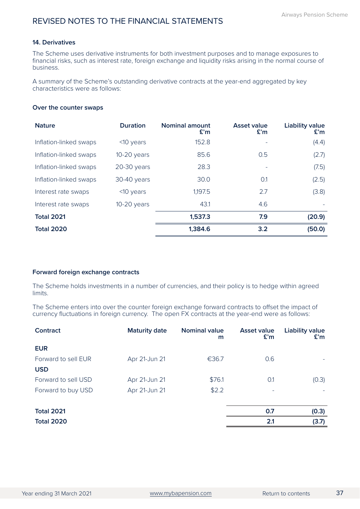### **14. Derivatives**

The Scheme uses derivative instruments for both investment purposes and to manage exposures to financial risks, such as interest rate, foreign exchange and liquidity risks arising in the normal course of business.

A summary of the Scheme's outstanding derivative contracts at the year-end aggregated by key characteristics were as follows:

### **Over the counter swaps**

| <b>Nature</b>          | <b>Duration</b> | <b>Nominal amount</b><br>£'m | Asset value<br>E'm | <b>Liability value</b><br>£'m |
|------------------------|-----------------|------------------------------|--------------------|-------------------------------|
| Inflation-linked swaps | $<$ 10 years    | 152.8                        |                    | (4.4)                         |
| Inflation-linked swaps | $10-20$ years   | 85.6                         | 0.5                | (2.7)                         |
| Inflation-linked swaps | $20-30$ years   | 28.3                         |                    | (7.5)                         |
| Inflation-linked swaps | 30-40 years     | 30.0                         | O.1                | (2.5)                         |
| Interest rate swaps    | $<$ 10 years    | 1,197.5                      | 2.7                | (3.8)                         |
| Interest rate swaps    | $10-20$ years   | 43.1                         | 4.6                |                               |
| <b>Total 2021</b>      |                 | 1,537.3                      | 7.9                | (20.9)                        |
| <b>Total 2020</b>      |                 | 1,384.6                      | 3.2                | (50.0)                        |

### **Forward foreign exchange contracts**

The Scheme holds investments in a number of currencies, and their policy is to hedge within agreed limits.

The Scheme enters into over the counter foreign exchange forward contracts to offset the impact of currency fluctuations in foreign currency. The open FX contracts at the year-end were as follows:

| Contract            | <b>Maturity date</b> | <b>Nominal value</b><br>m | <b>Asset value</b><br>£'m | Liability value<br>£'m |
|---------------------|----------------------|---------------------------|---------------------------|------------------------|
| <b>EUR</b>          |                      |                           |                           |                        |
| Forward to sell EUR | Apr 21-Jun 21        | €36.7                     | 0.6                       |                        |
| <b>USD</b>          |                      |                           |                           |                        |
| Forward to sell USD | Apr 21-Jun 21        | \$76.1                    | O.1                       | (0.3)                  |
| Forward to buy USD  | Apr 21-Jun 21        | \$2.2                     |                           |                        |
|                     |                      |                           |                           |                        |
| <b>Total 2021</b>   |                      |                           | 0.7                       | (0.3)                  |
| <b>Total 2020</b>   |                      |                           | 2.1                       | (3.7)                  |
|                     |                      |                           |                           |                        |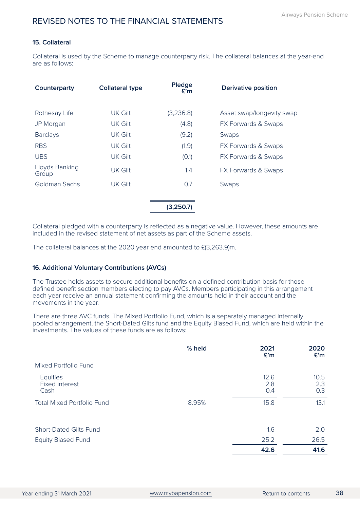### **15. Collateral**

Collateral is used by the Scheme to manage counterparty risk. The collateral balances at the year-end are as follows:

| Counterparty            | <b>Collateral type</b> | Pledge<br>E'm | <b>Derivative position</b> |
|-------------------------|------------------------|---------------|----------------------------|
| Rothesay Life           | UK Gilt                | (3,236.8)     | Asset swap/longevity swap  |
| JP Morgan               | UK Gilt                | (4.8)         | FX Forwards & Swaps        |
| <b>Barclays</b>         | UK Gilt                | (9.2)         | Swaps                      |
| <b>RBS</b>              | UK Gilt                | (1.9)         | FX Forwards & Swaps        |
| <b>UBS</b>              | UK Gilt                | (0.1)         | FX Forwards & Swaps        |
| Lloyds Banking<br>Group | UK Gilt                | 1.4           | FX Forwards & Swaps        |
| Goldman Sachs           | UK Gilt                | 0.7           | Swaps                      |
|                         |                        | (3,250.7      |                            |

Collateral pledged with a counterparty is reflected as a negative value. However, these amounts are included in the revised statement of net assets as part of the Scheme assets.

The collateral balances at the 2020 year end amounted to £(3,263.9)m.

### **16. Additional Voluntary Contributions (AVCs)**

The Trustee holds assets to secure additional benefits on a defined contribution basis for those defined benefit section members electing to pay AVCs. Members participating in this arrangement each year receive an annual statement confirming the amounts held in their account and the movements in the year.

There are three AVC funds. The Mixed Portfolio Fund, which is a separately managed internally pooled arrangement, the Short-Dated Gilts fund and the Equity Biased Fund, which are held within the investments. The values of these funds are as follows:

|                                                  | % held | 2021<br>£'m        | 2020<br>£'m        |
|--------------------------------------------------|--------|--------------------|--------------------|
| Mixed Portfolio Fund                             |        |                    |                    |
| <b>Equities</b><br><b>Fixed interest</b><br>Cash |        | 12.6<br>2.8<br>0.4 | 10.5<br>2.3<br>0.3 |
| <b>Total Mixed Portfolio Fund</b>                | 8.95%  | 15.8               | 13.1               |
| <b>Short-Dated Gilts Fund</b>                    |        | 1.6                | 2.0                |
| <b>Equity Biased Fund</b>                        |        | 25.2               | 26.5               |
|                                                  |        | 42.6               | 41.6               |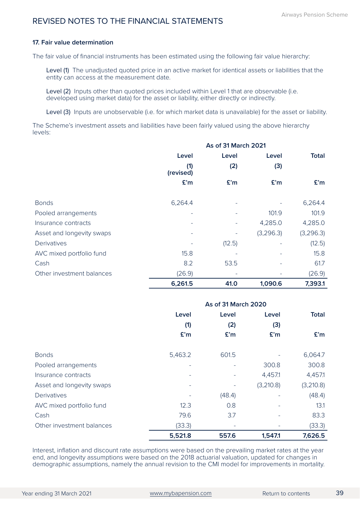### **17. Fair value determination**

The fair value of financial instruments has been estimated using the following fair value hierarchy:

Level (1) The unadjusted quoted price in an active market for identical assets or liabilities that the entity can access at the measurement date.

Level (2) Inputs other than quoted prices included within Level 1 that are observable (i.e. developed using market data) for the asset or liability, either directly or indirectly.

Level (3) Inputs are unobservable (i.e. for which market data is unavailable) for the asset or liability.

The Scheme's investment assets and liabilities have been fairly valued using the above hierarchy levels:

|                           | As of 31 March 2021 |        |           |              |
|---------------------------|---------------------|--------|-----------|--------------|
|                           | Level               | Level  | Level     | <b>Total</b> |
|                           | (1)<br>(revised)    | (2)    | (3)       |              |
|                           | £'m                 | £'m    | £'m       | E'm          |
|                           |                     |        |           |              |
| <b>Bonds</b>              | 6,264.4             |        |           | 6,264.4      |
| Pooled arrangements       | -                   |        | 101.9     | 101.9        |
| Insurance contracts       |                     |        | 4,285.0   | 4,285.0      |
| Asset and longevity swaps |                     |        | (3,296.3) | (3,296.3)    |
| Derivatives               |                     | (12.5) |           | (12.5)       |
| AVC mixed portfolio fund  | 15.8                |        |           | 15.8         |
| Cash                      | 8.2                 | 53.5   |           | 61.7         |
| Other investment balances | (26.9)              |        |           | (26.9)       |
|                           | 6,261.5             | 41.0   | 1,090.6   | 7,393.1      |

|                           | <b>As of 31 March 2020</b> |        |           |              |
|---------------------------|----------------------------|--------|-----------|--------------|
|                           | Level                      | Level  | Level     | <b>Total</b> |
|                           | (1)                        | (2)    | (3)       |              |
|                           | E'm                        | £'m    | £'m       | E'm          |
| <b>Bonds</b>              | 5,463.2                    | 601.5  |           | 6,064.7      |
| Pooled arrangements       |                            |        | 300.8     | 300.8        |
| Insurance contracts       |                            |        | 4,457.1   | 4,457.1      |
| Asset and longevity swaps |                            |        | (3,210.8) | (3,210.8)    |
| Derivatives               |                            | (48.4) |           | (48.4)       |
| AVC mixed portfolio fund  | 12.3                       | 0.8    |           | 13.1         |
| Cash                      | 79.6                       | 3.7    |           | 83.3         |
| Other investment balances | (33.3)                     |        |           | (33.3)       |
|                           | 5,521.8                    | 557.6  | 1,547.1   | 7,626.5      |

Interest, inflation and discount rate assumptions were based on the prevailing market rates at the year end, and longevity assumptions were based on the 2018 actuarial valuation, updated for changes in demographic assumptions, namely the annual revision to the CMI model for improvements in mortality.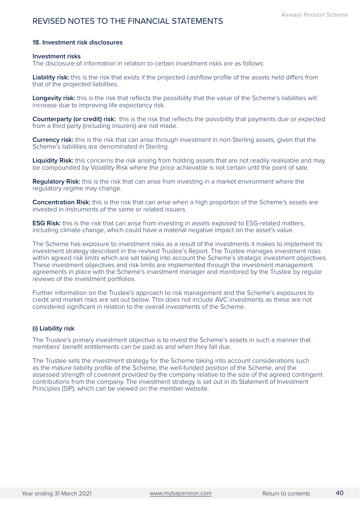### **18. Investment risk disclosures**

### **Investment risks**

The disclosure of information in relation to certain investment risks are as follows:

**Liability risk:** this is the risk that exists if the projected cashflow profile of the assets held differs from that of the projected liabilities.

**Longevity risk:** this is the risk that reflects the possibility that the value of the Scheme's liabilities will increase due to improving life expectancy risk.

**Counterparty (or credit) risk:** this is the risk that reflects the possibility that payments due or expected from a third party (including insurers) are not made.

**Currency risk:** this is the risk that can arise through investment in non-Sterling assets, given that the Scheme's liabilities are denominated in Sterling.

**Liquidity Risk:** this concerns the risk arising from holding assets that are not readily realisable and may be compounded by Volatility Risk where the price achievable is not certain until the point of sale.

**Regulatory Risk:** this is the risk that can arise from investing in a market environment where the regulatory regime may change.

**Concentration Risk:** this is the risk that can arise when a high proportion of the Scheme's assets are invested in instruments of the same or related issuers.

**ESG Risk:** this is the risk that can arise from investing in assets exposed to ESG-related matters, including climate change, which could have a material negative impact on the asset's value.

The Scheme has exposure to investment risks as a result of the investments it makes to implement its investment strategy described in the revised Trustee's Report. The Trustee manages investment risks within agreed risk limits which are set taking into account the Scheme's strategic investment objectives. These investment objectives and risk limits are implemented through the investment management agreements in place with the Scheme's investment manager and monitored by the Trustee by regular reviews of the investment portfolios.

Further information on the Trustee's approach to risk management and the Scheme's exposures to credit and market risks are set out below. This does not include AVC investments as these are not considered significant in relation to the overall investments of the Scheme.

### **(i) Liability risk**

The Trustee's primary investment objective is to invest the Scheme's assets in such a manner that members' benefit entitlements can be paid as and when they fall due.

The Trustee sets the investment strategy for the Scheme taking into account considerations such as the mature liability profile of the Scheme, the well-funded position of the Scheme, and the assessed strength of covenant provided by the company relative to the size of the agreed contingent contributions from the company. The investment strategy is set out in its Statement of Investment Principles (SIP), which can be viewed on the member website.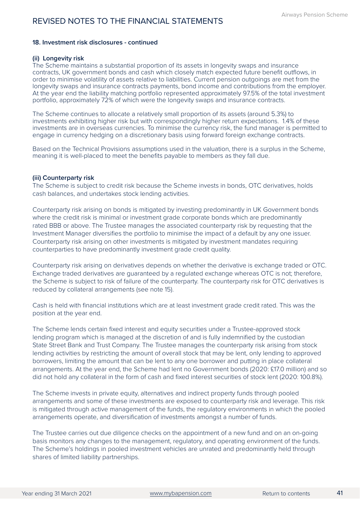### **18. Investment risk disclosures - continued**

### **(ii) Longevity risk**

The Scheme maintains a substantial proportion of its assets in longevity swaps and insurance contracts, UK government bonds and cash which closely match expected future benefit outflows, in order to minimise volatility of assets relative to liabilities. Current pension outgoings are met from the longevity swaps and insurance contracts payments, bond income and contributions from the employer. At the year end the liability matching portfolio represented approximately 97.5% of the total investment portfolio, approximately 72% of which were the longevity swaps and insurance contracts.

The Scheme continues to allocate a relatively small proportion of its assets (around 5.3%) to investments exhibiting higher risk but with correspondingly higher return expectations. 1.4% of these investments are in overseas currencies. To minimise the currency risk, the fund manager is permitted to engage in currency hedging on a discretionary basis using forward foreign exchange contracts.

Based on the Technical Provisions assumptions used in the valuation, there is a surplus in the Scheme, meaning it is well-placed to meet the benefits payable to members as they fall due.

### **(iii) Counterparty risk**

The Scheme is subject to credit risk because the Scheme invests in bonds, OTC derivatives, holds cash balances, and undertakes stock lending activities.

Counterparty risk arising on bonds is mitigated by investing predominantly in UK Government bonds where the credit risk is minimal or investment grade corporate bonds which are predominantly rated BBB or above. The Trustee manages the associated counterparty risk by requesting that the Investment Manager diversifies the portfolio to minimise the impact of a default by any one issuer. Counterparty risk arising on other investments is mitigated by investment mandates requiring counterparties to have predominantly investment grade credit quality.

Counterparty risk arising on derivatives depends on whether the derivative is exchange traded or OTC. Exchange traded derivatives are guaranteed by a regulated exchange whereas OTC is not; therefore, the Scheme is subject to risk of failure of the counterparty. The counterparty risk for OTC derivatives is reduced by collateral arrangements (see note 15).

Cash is held with financial institutions which are at least investment grade credit rated. This was the position at the year end.

The Scheme lends certain fixed interest and equity securities under a Trustee-approved stock lending program which is managed at the discretion of and is fully indemnified by the custodian State Street Bank and Trust Company. The Trustee manages the counterparty risk arising from stock lending activities by restricting the amount of overall stock that may be lent, only lending to approved borrowers, limiting the amount that can be lent to any one borrower and putting in place collateral arrangements. At the year end, the Scheme had lent no Government bonds (2020: £17.0 million) and so did not hold any collateral in the form of cash and fixed interest securities of stock lent (2020: 100.8%).

The Scheme invests in private equity, alternatives and indirect property funds through pooled arrangements and some of these investments are exposed to counterparty risk and leverage. This risk is mitigated through active management of the funds, the regulatory environments in which the pooled arrangements operate, and diversification of investments amongst a number of funds.

The Trustee carries out due diligence checks on the appointment of a new fund and on an on-going basis monitors any changes to the management, regulatory, and operating environment of the funds. The Scheme's holdings in pooled investment vehicles are unrated and predominantly held through shares of limited liability partnerships.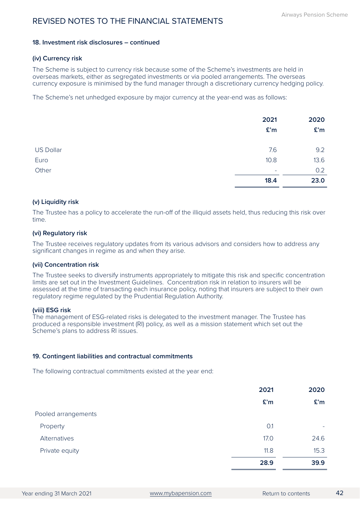### **18. Investment risk disclosures – continued**

### **(iv) Currency risk**

The Scheme is subject to currency risk because some of the Scheme's investments are held in overseas markets, either as segregated investments or via pooled arrangements. The overseas currency exposure is minimised by the fund manager through a discretionary currency hedging policy.

The Scheme's net unhedged exposure by major currency at the year-end was as follows:

|                  | 2021<br>£ <sup>'</sup> m | 2020<br>£'m |
|------------------|--------------------------|-------------|
| <b>US Dollar</b> | 7.6                      | 9.2         |
| Euro             | 10.8                     | 13.6        |
| Other            | ۰                        | 0.2         |
|                  | 18.4                     | 23.0        |

### **(v) Liquidity risk**

The Trustee has a policy to accelerate the run-off of the illiquid assets held, thus reducing this risk over time.

### **(vi) Regulatory risk**

The Trustee receives regulatory updates from its various advisors and considers how to address any significant changes in regime as and when they arise.

### **(vii) Concentration risk**

The Trustee seeks to diversify instruments appropriately to mitigate this risk and specific concentration limits are set out in the Investment Guidelines. Concentration risk in relation to insurers will be assessed at the time of transacting each insurance policy, noting that insurers are subject to their own regulatory regime regulated by the Prudential Regulation Authority.

### **(viii) ESG risk**

The management of ESG-related risks is delegated to the investment manager. The Trustee has produced a responsible investment (RI) policy, as well as a mission statement which set out the Scheme's plans to address RI issues.

### **19. Contingent liabilities and contractual commitments**

The following contractual commitments existed at the year end:

|                     | 2021 | 2020 |
|---------------------|------|------|
|                     | £'m  | £'m  |
| Pooled arrangements |      |      |
| Property            | 0.1  | ٠    |
| Alternatives        | 17.0 | 24.6 |
| Private equity      | 11.8 | 15.3 |
|                     | 28.9 | 39.9 |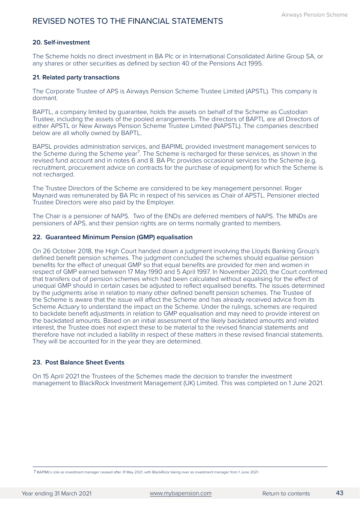### **20. Self-investment**

The Scheme holds no direct investment in BA Plc or in International Consolidated Airline Group SA, or any shares or other securities as defined by section 40 of the Pensions Act 1995.

### **21. Related party transactions**

The Corporate Trustee of APS is Airways Pension Scheme Trustee Limited (APSTL). This company is dormant.

BAPTL, a company limited by guarantee, holds the assets on behalf of the Scheme as Custodian Trustee, including the assets of the pooled arrangements. The directors of BAPTL are all Directors of either APSTL or New Airways Pension Scheme Trustee Limited (NAPSTL). The companies described below are all wholly owned by BAPTL.

BAPSL provides administration services, and BAPIML provided investment management services to the Scheme during the Scheme year<sup>7</sup>. The Scheme is recharged for these services, as shown in the revised fund account and in notes 6 and 8. BA Plc provides occasional services to the Scheme (e.g. recruitment, procurement advice on contracts for the purchase of equipment) for which the Scheme is not recharged.

The Trustee Directors of the Scheme are considered to be key management personnel. Roger Maynard was remunerated by BA Plc in respect of his services as Chair of APSTL. Pensioner elected Trustee Directors were also paid by the Employer.

The Chair is a pensioner of NAPS. Two of the ENDs are deferred members of NAPS. The MNDs are pensioners of APS, and their pension rights are on terms normally granted to members.

### **22. Guaranteed Minimum Pension (GMP) equalisation**

On 26 October 2018, the High Court handed down a judgment involving the Lloyds Banking Group's defined benefit pension schemes. The judgment concluded the schemes should equalise pension benefits for the effect of unequal GMP so that equal benefits are provided for men and women in respect of GMP earned between 17 May 1990 and 5 April 1997. In November 2020, the Court confirmed that transfers out of pension schemes which had been calculated without equalising for the effect of unequal GMP should in certain cases be adjusted to reflect equalised benefits. The issues determined by the judgments arise in relation to many other defined benefit pension schemes. The Trustee of the Scheme is aware that the issue will affect the Scheme and has already received advice from its Scheme Actuary to understand the impact on the Scheme. Under the rulings, schemes are required to backdate benefit adjustments in relation to GMP equalisation and may need to provide interest on the backdated amounts. Based on an initial assessment of the likely backdated amounts and related interest, the Trustee does not expect these to be material to the revised financial statements and therefore have not included a liability in respect of these matters in these revised financial statements. They will be accounted for in the year they are determined.

### **23. Post Balance Sheet Events**

On 15 April 2021 the Trustees of the Schemes made the decision to transfer the investment management to BlackRock Investment Management (UK) Limited. This was completed on 1 June 2021.

⁷ BAPIML's role as investment manager ceased after 31 May 2021, with BlackRock taking over as investment manager from 1 June 2021.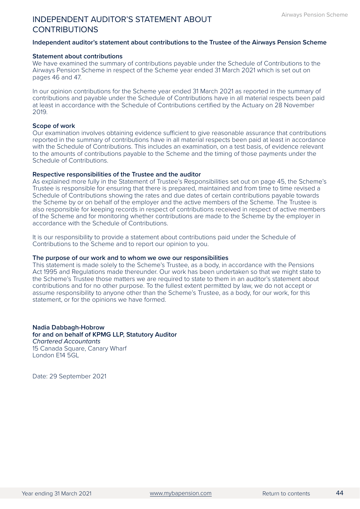### <span id="page-46-0"></span>INDEPENDENT AUDITOR'S STATEMENT ABOUT **CONTRIBUTIONS**

### **Independent auditor's statement about contributions to the Trustee of the Airways Pension Scheme**

#### **Statement about contributions**

We have examined the summary of contributions payable under the Schedule of Contributions to the Airways Pension Scheme in respect of the Scheme year ended 31 March 2021 which is set out on pages 46 and 47.

In our opinion contributions for the Scheme year ended 31 March 2021 as reported in the summary of contributions and payable under the Schedule of Contributions have in all material respects been paid at least in accordance with the Schedule of Contributions certified by the Actuary on 28 November 2019.

#### **Scope of work**

Our examination involves obtaining evidence sufficient to give reasonable assurance that contributions reported in the summary of contributions have in all material respects been paid at least in accordance with the Schedule of Contributions. This includes an examination, on a test basis, of evidence relevant to the amounts of contributions payable to the Scheme and the timing of those payments under the Schedule of Contributions.

#### **Respective responsibilities of the Trustee and the auditor**

As explained more fully in the Statement of Trustee's Responsibilities set out on page 45, the Scheme's Trustee is responsible for ensuring that there is prepared, maintained and from time to time revised a Schedule of Contributions showing the rates and due dates of certain contributions payable towards the Scheme by or on behalf of the employer and the active members of the Scheme. The Trustee is also responsible for keeping records in respect of contributions received in respect of active members of the Scheme and for monitoring whether contributions are made to the Scheme by the employer in accordance with the Schedule of Contributions.

It is our responsibility to provide a statement about contributions paid under the Schedule of Contributions to the Scheme and to report our opinion to you.

#### **The purpose of our work and to whom we owe our responsibilities**

This statement is made solely to the Scheme's Trustee, as a body, in accordance with the Pensions Act 1995 and Regulations made thereunder. Our work has been undertaken so that we might state to the Scheme's Trustee those matters we are required to state to them in an auditor's statement about contributions and for no other purpose. To the fullest extent permitted by law, we do not accept or assume responsibility to anyone other than the Scheme's Trustee, as a body, for our work, for this statement, or for the opinions we have formed.

**Nadia Dabbagh-Hobrow for and on behalf of KPMG LLP, Statutory Auditor**  *Chartered Accountants*  15 Canada Square, Canary Wharf London E14 5GL

Date: 29 September 2021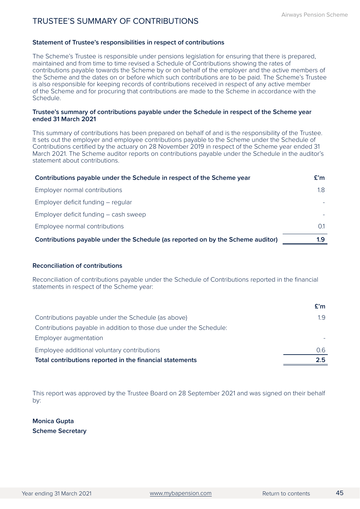### <span id="page-47-0"></span>TRUSTEE'S SUMMARY OF CONTRIBUTIONS

### **Statement of Trustee's responsibilities in respect of contributions**

The Scheme's Trustee is responsible under pensions legislation for ensuring that there is prepared, maintained and from time to time revised a Schedule of Contributions showing the rates of contributions payable towards the Scheme by or on behalf of the employer and the active members of the Scheme and the dates on or before which such contributions are to be paid. The Scheme's Trustee is also responsible for keeping records of contributions received in respect of any active member of the Scheme and for procuring that contributions are made to the Scheme in accordance with the Schedule.

### **Trustee's summary of contributions payable under the Schedule in respect of the Scheme year ended 31 March 2021**

This summary of contributions has been prepared on behalf of and is the responsibility of the Trustee. It sets out the employer and employee contributions payable to the Scheme under the Schedule of Contributions certified by the actuary on 28 November 2019 in respect of the Scheme year ended 31 March 2021. The Scheme auditor reports on contributions payable under the Schedule in the auditor's statement about contributions.

| Contributions payable under the Schedule in respect of the Scheme year          | E'm |
|---------------------------------------------------------------------------------|-----|
| Employer normal contributions                                                   | 1.8 |
| Employer deficit funding – regular                                              |     |
| Employer deficit funding – cash sweep                                           |     |
| Employee normal contributions                                                   |     |
| Contributions payable under the Schedule (as reported on by the Scheme auditor) | 1.9 |

### **Reconciliation of contributions**

Reconciliation of contributions payable under the Schedule of Contributions reported in the financial statements in respect of the Scheme year:

|                                                                    | £'m            |
|--------------------------------------------------------------------|----------------|
| Contributions payable under the Schedule (as above)                | 1.9            |
| Contributions payable in addition to those due under the Schedule: |                |
| Employer augmentation                                              |                |
| Employee additional voluntary contributions                        | 0 <sub>6</sub> |
| Total contributions reported in the financial statements           | つら             |

This report was approved by the Trustee Board on 28 September 2021 and was signed on their behalf by:

**Monica Gupta Scheme Secretary**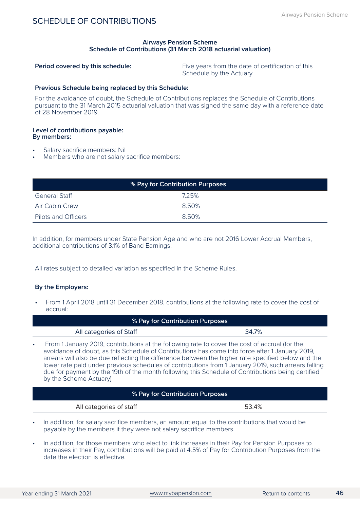### <span id="page-48-0"></span>SCHEDULE OF CONTRIBUTIONS

### **Airways Pension Scheme Schedule of Contributions (31 March 2018 actuarial valuation)**

**Period covered by this schedule:** Five years from the date of certification of this Schedule by the Actuary

### **Previous Schedule being replaced by this Schedule:**

For the avoidance of doubt, the Schedule of Contributions replaces the Schedule of Contributions pursuant to the 31 March 2015 actuarial valuation that was signed the same day with a reference date of 28 November 2019.

#### **Level of contributions payable: By members:**

- 
- Salary sacrifice members: Nil<br>Members who are not salary sacrifice members:

| % Pay for Contribution Purposes |       |  |  |  |
|---------------------------------|-------|--|--|--|
| <b>General Staff</b>            | 7.25% |  |  |  |
| <b>Air Cabin Crew</b>           | 8.50% |  |  |  |
| Pilots and Officers             | 8.50% |  |  |  |

In addition, for members under State Pension Age and who are not 2016 Lower Accrual Members, additional contributions of 3.1% of Band Earnings.

All rates subject to detailed variation as specified in the Scheme Rules.

### **By the Employers:**

• From 1 April 2018 until 31 December 2018, contributions at the following rate to cover the cost of accrual:

| % Pay for Contribution Purposes                                                                                                                                                                                                                                                                                                                                                                                                                                                                                                               |       |  |  |
|-----------------------------------------------------------------------------------------------------------------------------------------------------------------------------------------------------------------------------------------------------------------------------------------------------------------------------------------------------------------------------------------------------------------------------------------------------------------------------------------------------------------------------------------------|-------|--|--|
| All categories of Staff                                                                                                                                                                                                                                                                                                                                                                                                                                                                                                                       | 34.7% |  |  |
| From 1 January 2019, contributions at the following rate to cover the cost of accrual (for the<br>avoidance of doubt, as this Schedule of Contributions has come into force after 1 January 2019,<br>arrears will also be due reflecting the difference between the higher rate specified below and the<br>lower rate paid under previous schedules of contributions from 1 January 2019, such arrears falling<br>due for payment by the 19th of the month following this Schedule of Contributions being certified<br>by the Scheme Actuary) |       |  |  |
| % Pay for Contribution Purposes                                                                                                                                                                                                                                                                                                                                                                                                                                                                                                               |       |  |  |
| All categories of staff                                                                                                                                                                                                                                                                                                                                                                                                                                                                                                                       |       |  |  |

- In addition, for salary sacrifice members, an amount equal to the contributions that would be payable by the members if they were not salary sacrifice members.
- In addition, for those members who elect to link increases in their Pay for Pension Purposes to increases in their Pay, contributions will be paid at 4.5% of Pay for Contribution Purposes from the date the election is effective.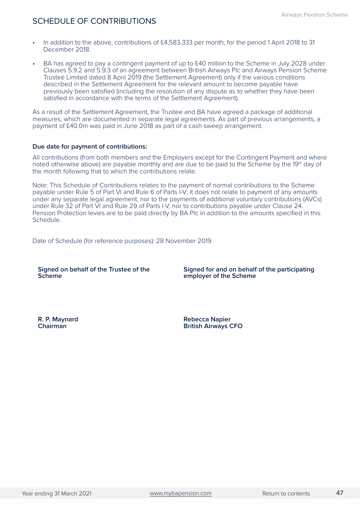- In addition to the above, contributions of £4,583,333 per month, for the period 1 April 2018 to 31 December 2018.
- BA has agreed to pay a contingent payment of up to £40 million to the Scheme in July 2028 under Clauses 5.9.2 and 5.9.3 of an agreement between British Airways Plc and Airways Pension Scheme Trustee Limited dated 8 April 2019 (the Settlement Agreement) only if the various conditions described in the Settlement Agreement for the relevant amount to become payable have previously been satisfied (including the resolution of any dispute as to whether they have been satisfied in accordance with the terms of the Settlement Agreement).

As a result of the Settlement Agreement, the Trustee and BA have agreed a package of additional measures, which are documented in separate legal agreements. As part of previous arrangements, a payment of £40.0m was paid in June 2018 as part of a cash sweep arrangement.

### **Due date for payment of contributions:**

All contributions (from both members and the Employers except for the Contingent Payment and where noted otherwise above) are payable monthly and are due to be paid to the Scheme by the 19th day of the month following that to which the contributions relate.

Note: This Schedule of Contributions relates to the payment of normal contributions to the Scheme payable under Rule 5 of Part VI and Rule 6 of Parts I-V; it does not relate to payment of any amounts under any separate legal agreement, nor to the payments of additional voluntary contributions (AVCs) under Rule 32 of Part VI and Rule 29 of Parts I-V, nor to contributions payable under Clause 24. Pension Protection levies are to be paid directly by BA Plc in addition to the amounts specified in this Schedule.

Date of Schedule (for reference purposes): 28 November 2019

| Signed on behalf of the Trustee of the |
|----------------------------------------|
| <b>Scheme</b>                          |

**Signed for and on behalf of the participating employer of the Scheme**

**R. P. Maynard Chairman**

**Rebecca Napier British Airways CFO**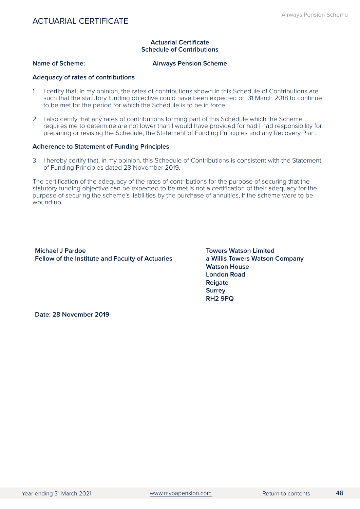### **Actuarial Certificate Schedule of Contributions**

<span id="page-50-0"></span>

### **Name of Scheme:** Airways Pension Scheme

### **Adequacy of rates of contributions**

- 1. I certify that, in my opinion, the rates of contributions shown in this Schedule of Contributions are such that the statutory funding objective could have been expected on 31 March 2018 to continue to be met for the period for which the Schedule is to be in force.
- 2. I also certify that any rates of contributions forming part of this Schedule which the Scheme requires me to determine are not lower than I would have provided for had I had responsibility for preparing or revising the Schedule, the Statement of Funding Principles and any Recovery Plan.

### **Adherence to Statement of Funding Principles**

3. I hereby certify that, in my opinion, this Schedule of Contributions is consistent with the Statement of Funding Principles dated 28 November 2019.

The certification of the adequacy of the rates of contributions for the purpose of securing that the statutory funding objective can be expected to be met is not a certification of their adequacy for the purpose of securing the scheme's liabilities by the purchase of annuities, if the scheme were to be wound up.

**Michael J Pardoe Fellow of the Institute and Faculty of Actuaries**

**Towers Watson Limited a Willis Towers Watson Company Watson House London Road Reigate Surrey RH2 9PQ**

**Date: 28 November 2019**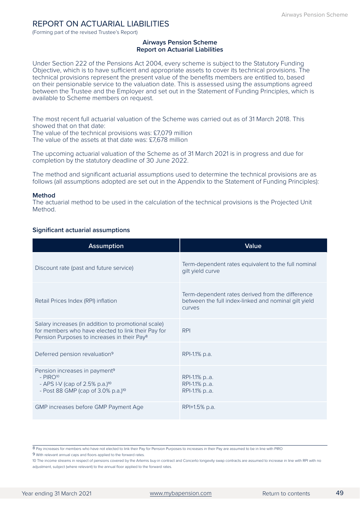### <span id="page-51-0"></span>REPORT ON ACTUARIAL LIABILITIES

(Forming part of the revised Trustee's Report)

### **Airways Pension Scheme Report on Actuarial Liabilities**

Under Section 222 of the Pensions Act 2004, every scheme is subject to the Statutory Funding Objective, which is to have sufficient and appropriate assets to cover its technical provisions. The technical provisions represent the present value of the benefits members are entitled to, based on their pensionable service to the valuation date. This is assessed using the assumptions agreed between the Trustee and the Employer and set out in the Statement of Funding Principles, which is available to Scheme members on request.

The most recent full actuarial valuation of the Scheme was carried out as of 31 March 2018. This showed that on that date:

The value of the technical provisions was: £7,079 million The value of the assets at that date was: £7,678 million

The upcoming actuarial valuation of the Scheme as of 31 March 2021 is in progress and due for completion by the statutory deadline of 30 June 2022.

The method and significant actuarial assumptions used to determine the technical provisions are as follows (all assumptions adopted are set out in the Appendix to the Statement of Funding Principles):

#### **Method**

The actuarial method to be used in the calculation of the technical provisions is the Projected Unit Method.

### **Significant actuarial assumptions**

| <b>Assumption</b>                                                                                                                                                    | Value                                                                                                              |
|----------------------------------------------------------------------------------------------------------------------------------------------------------------------|--------------------------------------------------------------------------------------------------------------------|
| Discount rate (past and future service)                                                                                                                              | Term-dependent rates equivalent to the full nominal<br>gilt yield curve                                            |
| Retail Prices Index (RPI) inflation                                                                                                                                  | Term-dependent rates derived from the difference<br>between the full index-linked and nominal gilt yield<br>curves |
| Salary increases (in addition to promotional scale)<br>for members who have elected to link their Pay for<br>Pension Purposes to increases in their Pay <sup>8</sup> | <b>RPI</b>                                                                                                         |
| Deferred pension revaluation <sup>9</sup>                                                                                                                            | RPI-1.1% p.a.                                                                                                      |
| Pension increases in payment <sup>9</sup><br>$-$ PIRO <sup>10</sup><br>- APS I-V (cap of 2.5% p.a.) <sup>10</sup><br>- Post 88 GMP (cap of 3.0% p.a.) <sup>10</sup>  | RPI-1.1% pa.<br>RPI-1.1% pa.<br>RPI-1.1% pa.                                                                       |
| GMP increases before GMP Payment Age                                                                                                                                 | RPI+1.5% p.a.                                                                                                      |

⁸ Pay increases for members who have not elected to link their Pay for Pension Purposes to increases in their Pay are assumed to be in line with PIRO

⁹ With relevant annual caps and floors applied to the forward rates.

10 The income streams in respect of pensions covered by the Artemis buy-in contract and Concerto longevity swap contracts are assumed to increase in line with RPI with no adjustment, subject (where relevant) to the annual floor applied to the forward rates.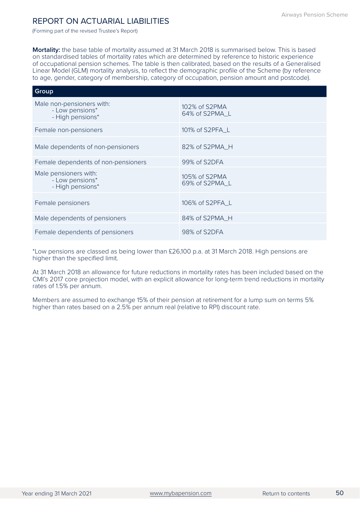### REPORT ON ACTUARIAL LIABILITIES

(Forming part of the revised Trustee's Report)

**Mortality:** the base table of mortality assumed at 31 March 2018 is summarised below. This is based on standardised tables of mortality rates which are determined by reference to historic experience of occupational pension schemes. The table is then calibrated, based on the results of a Generalised Linear Model (GLM) mortality analysis, to reflect the demographic profile of the Scheme (by reference to age, gender, category of membership, category of occupation, pension amount and postcode).

| Group                                                            |                                 |  |  |  |
|------------------------------------------------------------------|---------------------------------|--|--|--|
| Male non-pensioners with:<br>- Low pensions*<br>- High pensions* | 102% of S2PMA<br>64% of S2PMA L |  |  |  |
| Female non-pensioners                                            | 101% of S2PFA_L                 |  |  |  |
| Male dependents of non-pensioners                                | 82% of S2PMA_H                  |  |  |  |
| Female dependents of non-pensioners                              | 99% of S2DFA                    |  |  |  |
| Male pensioners with:<br>- Low pensions*<br>- High pensions*     | 105% of S2PMA<br>69% of S2PMA_L |  |  |  |
| Female pensioners                                                | 106% of S2PFA_L                 |  |  |  |
| Male dependents of pensioners                                    | 84% of S2PMA_H                  |  |  |  |
| Female dependents of pensioners                                  | 98% of S2DFA                    |  |  |  |

\*Low pensions are classed as being lower than £26,100 p.a. at 31 March 2018. High pensions are higher than the specified limit.

At 31 March 2018 an allowance for future reductions in mortality rates has been included based on the CMI's 2017 core projection model, with an explicit allowance for long-term trend reductions in mortality rates of 1.5% per annum.

Members are assumed to exchange 15% of their pension at retirement for a lump sum on terms 5% higher than rates based on a 2.5% per annum real (relative to RPI) discount rate.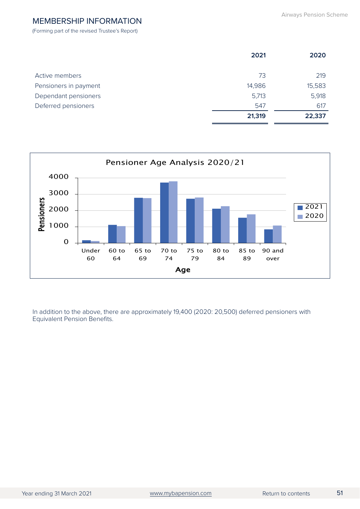### <span id="page-53-0"></span>MEMBERSHIP INFORMATION

(Forming part of the revised Trustee's Report)

|                       | 2021   | 2020   |
|-----------------------|--------|--------|
|                       |        |        |
| Active members        | 73     | 219    |
| Pensioners in payment | 14,986 | 15,583 |
| Dependant pensioners  | 5,713  | 5,918  |
| Deferred pensioners   | 547    | 617    |
|                       | 21,319 | 22,337 |



In addition to the above, there are approximately 19,400 (2020: 20,500) deferred pensioners with Equivalent Pension Benefits.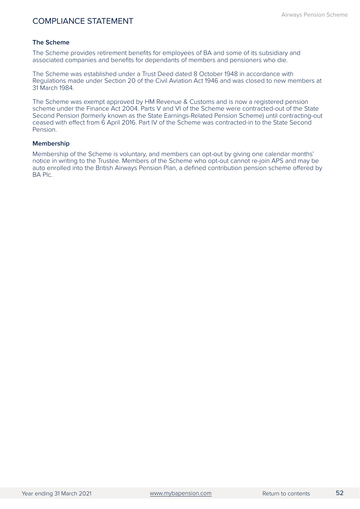### <span id="page-54-0"></span>COMPLIANCE STATEMENT

### **The Scheme**

The Scheme provides retirement benefits for employees of BA and some of its subsidiary and associated companies and benefits for dependants of members and pensioners who die.

The Scheme was established under a Trust Deed dated 8 October 1948 in accordance with Regulations made under Section 20 of the Civil Aviation Act 1946 and was closed to new members at 31 March 1984.

The Scheme was exempt approved by HM Revenue & Customs and is now a registered pension scheme under the Finance Act 2004. Parts V and VI of the Scheme were contracted-out of the State Second Pension (formerly known as the State Earnings-Related Pension Scheme) until contracting-out ceased with effect from 6 April 2016. Part IV of the Scheme was contracted-in to the State Second Pension.

### **Membership**

Membership of the Scheme is voluntary, and members can opt-out by giving one calendar months' notice in writing to the Trustee. Members of the Scheme who opt-out cannot re-join APS and may be auto enrolled into the British Airways Pension Plan, a defined contribution pension scheme offered by BA Plc.